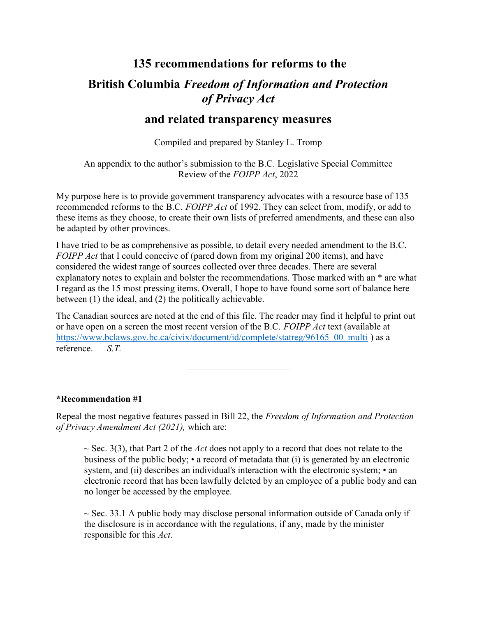# 135 recommendations for reforms to the British Columbia Freedom of Information and Protection of Privacy Act

# and related transparency measures

Compiled and prepared by Stanley L. Tromp

An appendix to the author's submission to the B.C. Legislative Special Committee Review of the FOIPP Act, 2022

My purpose here is to provide government transparency advocates with a resource base of 135 recommended reforms to the B.C. FOIPP Act of 1992. They can select from, modify, or add to these items as they choose, to create their own lists of preferred amendments, and these can also be adapted by other provinces.

I have tried to be as comprehensive as possible, to detail every needed amendment to the B.C. FOIPP Act that I could conceive of (pared down from my original 200 items), and have considered the widest range of sources collected over three decades. There are several explanatory notes to explain and bolster the recommendations. Those marked with an \* are what I regard as the 15 most pressing items. Overall, I hope to have found some sort of balance here between (1) the ideal, and (2) the politically achievable.

The Canadian sources are noted at the end of this file. The reader may find it helpful to print out or have open on a screen the most recent version of the B.C. FOIPP Act text (available at https://www.bclaws.gov.bc.ca/civix/document/id/complete/statreg/96165\_00\_multi ) as a reference.  $-S.T.$ 

#### \*Recommendation #1

Repeal the most negative features passed in Bill 22, the Freedom of Information and Protection of Privacy Amendment Act (2021), which are:

 $\sim$  Sec. 3(3), that Part 2 of the Act does not apply to a record that does not relate to the business of the public body;  $\bullet$  a record of metadata that (i) is generated by an electronic system, and (ii) describes an individual's interaction with the electronic system; • an electronic record that has been lawfully deleted by an employee of a public body and can no longer be accessed by the employee.

 $\sim$  Sec. 33.1 A public body may disclose personal information outside of Canada only if the disclosure is in accordance with the regulations, if any, made by the minister responsible for this *Act*.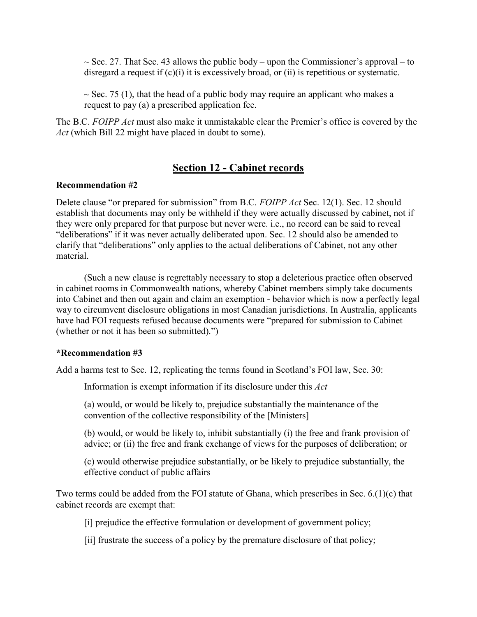$\sim$  Sec. 27. That Sec. 43 allows the public body – upon the Commissioner's approval – to disregard a request if  $(c)(i)$  it is excessively broad, or (ii) is repetitious or systematic.

 $\sim$  Sec. 75 (1), that the head of a public body may require an applicant who makes a request to pay (a) a prescribed application fee.

The B.C. FOIPP Act must also make it unmistakable clear the Premier's office is covered by the Act (which Bill 22 might have placed in doubt to some).

# Section 12 - Cabinet records

#### Recommendation #2

Delete clause "or prepared for submission" from B.C. FOIPP Act Sec. 12(1). Sec. 12 should establish that documents may only be withheld if they were actually discussed by cabinet, not if they were only prepared for that purpose but never were. i.e., no record can be said to reveal "deliberations" if it was never actually deliberated upon. Sec. 12 should also be amended to clarify that "deliberations" only applies to the actual deliberations of Cabinet, not any other material.

(Such a new clause is regrettably necessary to stop a deleterious practice often observed in cabinet rooms in Commonwealth nations, whereby Cabinet members simply take documents into Cabinet and then out again and claim an exemption - behavior which is now a perfectly legal way to circumvent disclosure obligations in most Canadian jurisdictions. In Australia, applicants have had FOI requests refused because documents were "prepared for submission to Cabinet (whether or not it has been so submitted).")

#### \*Recommendation #3

Add a harms test to Sec. 12, replicating the terms found in Scotland's FOI law, Sec. 30:

Information is exempt information if its disclosure under this Act

(a) would, or would be likely to, prejudice substantially the maintenance of the convention of the collective responsibility of the [Ministers]

(b) would, or would be likely to, inhibit substantially (i) the free and frank provision of advice; or (ii) the free and frank exchange of views for the purposes of deliberation; or

(c) would otherwise prejudice substantially, or be likely to prejudice substantially, the effective conduct of public affairs

Two terms could be added from the FOI statute of Ghana, which prescribes in Sec. 6.(1)(c) that cabinet records are exempt that:

[i] prejudice the effective formulation or development of government policy;

[ii] frustrate the success of a policy by the premature disclosure of that policy;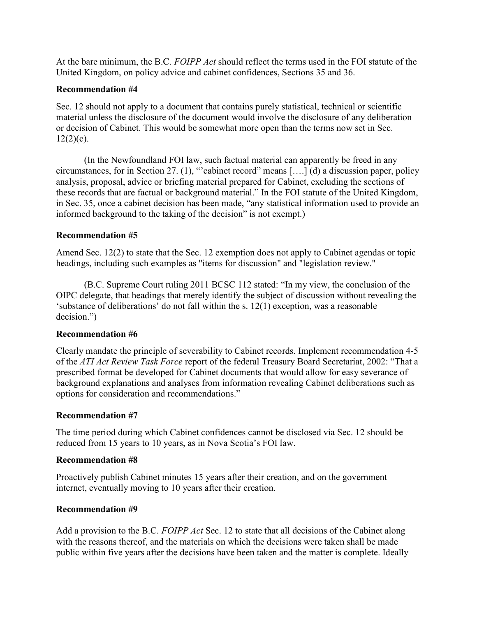At the bare minimum, the B.C. FOIPP Act should reflect the terms used in the FOI statute of the United Kingdom, on policy advice and cabinet confidences, Sections 35 and 36.

# Recommendation #4

Sec. 12 should not apply to a document that contains purely statistical, technical or scientific material unless the disclosure of the document would involve the disclosure of any deliberation or decision of Cabinet. This would be somewhat more open than the terms now set in Sec.  $12(2)(c)$ .

(In the Newfoundland FOI law, such factual material can apparently be freed in any circumstances, for in Section 27. (1), "'cabinet record" means [….] (d) a discussion paper, policy analysis, proposal, advice or briefing material prepared for Cabinet, excluding the sections of these records that are factual or background material." In the FOI statute of the United Kingdom, in Sec. 35, once a cabinet decision has been made, "any statistical information used to provide an informed background to the taking of the decision" is not exempt.)

# Recommendation #5

Amend Sec. 12(2) to state that the Sec. 12 exemption does not apply to Cabinet agendas or topic headings, including such examples as "items for discussion" and "legislation review."

(B.C. Supreme Court ruling 2011 BCSC 112 stated: "In my view, the conclusion of the OIPC delegate, that headings that merely identify the subject of discussion without revealing the 'substance of deliberations' do not fall within the s. 12(1) exception, was a reasonable decision.")

# Recommendation #6

Clearly mandate the principle of severability to Cabinet records. Implement recommendation 4-5 of the ATI Act Review Task Force report of the federal Treasury Board Secretariat, 2002: "That a prescribed format be developed for Cabinet documents that would allow for easy severance of background explanations and analyses from information revealing Cabinet deliberations such as options for consideration and recommendations."

# Recommendation #7

The time period during which Cabinet confidences cannot be disclosed via Sec. 12 should be reduced from 15 years to 10 years, as in Nova Scotia's FOI law.

# Recommendation #8

Proactively publish Cabinet minutes 15 years after their creation, and on the government internet, eventually moving to 10 years after their creation.

# Recommendation #9

Add a provision to the B.C. FOIPP Act Sec. 12 to state that all decisions of the Cabinet along with the reasons thereof, and the materials on which the decisions were taken shall be made public within five years after the decisions have been taken and the matter is complete. Ideally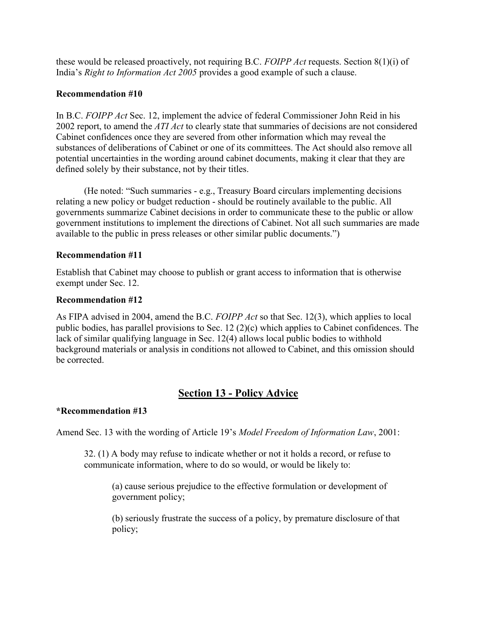these would be released proactively, not requiring B.C. FOIPP Act requests. Section 8(1)(i) of India's Right to Information Act 2005 provides a good example of such a clause.

# Recommendation #10

In B.C. FOIPP Act Sec. 12, implement the advice of federal Commissioner John Reid in his 2002 report, to amend the *ATI Act* to clearly state that summaries of decisions are not considered Cabinet confidences once they are severed from other information which may reveal the substances of deliberations of Cabinet or one of its committees. The Act should also remove all potential uncertainties in the wording around cabinet documents, making it clear that they are defined solely by their substance, not by their titles.

(He noted: "Such summaries - e.g., Treasury Board circulars implementing decisions relating a new policy or budget reduction - should be routinely available to the public. All governments summarize Cabinet decisions in order to communicate these to the public or allow government institutions to implement the directions of Cabinet. Not all such summaries are made available to the public in press releases or other similar public documents.")

# Recommendation #11

Establish that Cabinet may choose to publish or grant access to information that is otherwise exempt under Sec. 12.

# Recommendation #12

As FIPA advised in 2004, amend the B.C. FOIPP Act so that Sec. 12(3), which applies to local public bodies, has parallel provisions to Sec. 12 (2)(c) which applies to Cabinet confidences. The lack of similar qualifying language in Sec. 12(4) allows local public bodies to withhold background materials or analysis in conditions not allowed to Cabinet, and this omission should be corrected.

# Section 13 - Policy Advice

#### \*Recommendation #13

Amend Sec. 13 with the wording of Article 19's Model Freedom of Information Law, 2001:

32. (1) A body may refuse to indicate whether or not it holds a record, or refuse to communicate information, where to do so would, or would be likely to:

(a) cause serious prejudice to the effective formulation or development of government policy;

(b) seriously frustrate the success of a policy, by premature disclosure of that policy;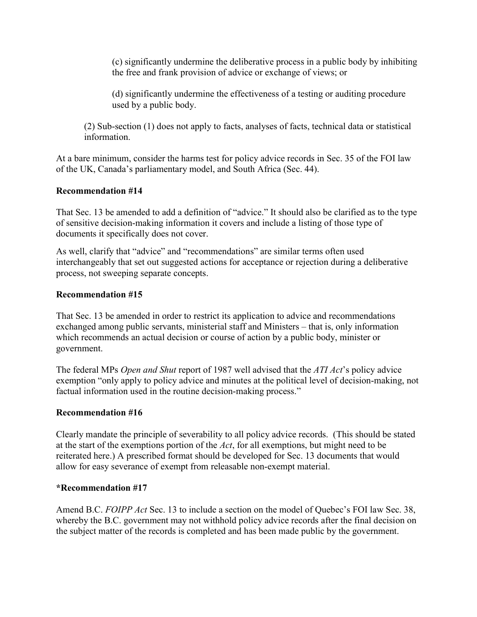(c) significantly undermine the deliberative process in a public body by inhibiting the free and frank provision of advice or exchange of views; or

(d) significantly undermine the effectiveness of a testing or auditing procedure used by a public body.

(2) Sub-section (1) does not apply to facts, analyses of facts, technical data or statistical information.

At a bare minimum, consider the harms test for policy advice records in Sec. 35 of the FOI law of the UK, Canada's parliamentary model, and South Africa (Sec. 44).

# Recommendation #14

That Sec. 13 be amended to add a definition of "advice." It should also be clarified as to the type of sensitive decision-making information it covers and include a listing of those type of documents it specifically does not cover.

As well, clarify that "advice" and "recommendations" are similar terms often used interchangeably that set out suggested actions for acceptance or rejection during a deliberative process, not sweeping separate concepts.

#### Recommendation #15

That Sec. 13 be amended in order to restrict its application to advice and recommendations exchanged among public servants, ministerial staff and Ministers – that is, only information which recommends an actual decision or course of action by a public body, minister or government.

The federal MPs Open and Shut report of 1987 well advised that the ATI Act's policy advice exemption "only apply to policy advice and minutes at the political level of decision-making, not factual information used in the routine decision-making process."

#### Recommendation #16

Clearly mandate the principle of severability to all policy advice records. (This should be stated at the start of the exemptions portion of the Act, for all exemptions, but might need to be reiterated here.) A prescribed format should be developed for Sec. 13 documents that would allow for easy severance of exempt from releasable non-exempt material.

#### \*Recommendation #17

Amend B.C. FOIPP Act Sec. 13 to include a section on the model of Quebec's FOI law Sec. 38, whereby the B.C. government may not withhold policy advice records after the final decision on the subject matter of the records is completed and has been made public by the government.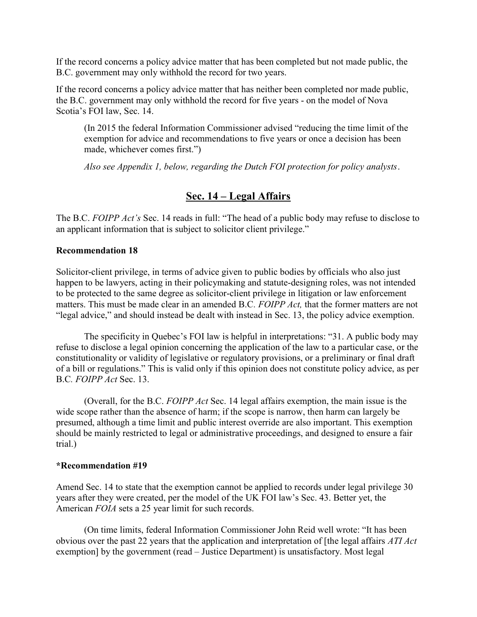If the record concerns a policy advice matter that has been completed but not made public, the B.C. government may only withhold the record for two years.

If the record concerns a policy advice matter that has neither been completed nor made public, the B.C. government may only withhold the record for five years - on the model of Nova Scotia's FOI law, Sec. 14.

(In 2015 the federal Information Commissioner advised "reducing the time limit of the exemption for advice and recommendations to five years or once a decision has been made, whichever comes first.")

Also see Appendix 1, below, regarding the Dutch FOI protection for policy analysts.

# Sec. 14 – Legal Affairs

The B.C. FOIPP Act's Sec. 14 reads in full: "The head of a public body may refuse to disclose to an applicant information that is subject to solicitor client privilege."

# Recommendation 18

Solicitor-client privilege, in terms of advice given to public bodies by officials who also just happen to be lawyers, acting in their policymaking and statute-designing roles, was not intended to be protected to the same degree as solicitor-client privilege in litigation or law enforcement matters. This must be made clear in an amended B.C. FOIPP Act, that the former matters are not "legal advice," and should instead be dealt with instead in Sec. 13, the policy advice exemption.

The specificity in Quebec's FOI law is helpful in interpretations: "31. A public body may refuse to disclose a legal opinion concerning the application of the law to a particular case, or the constitutionality or validity of legislative or regulatory provisions, or a preliminary or final draft of a bill or regulations." This is valid only if this opinion does not constitute policy advice, as per B.C. FOIPP Act Sec. 13.

(Overall, for the B.C. FOIPP Act Sec. 14 legal affairs exemption, the main issue is the wide scope rather than the absence of harm; if the scope is narrow, then harm can largely be presumed, although a time limit and public interest override are also important. This exemption should be mainly restricted to legal or administrative proceedings, and designed to ensure a fair trial.)

#### \*Recommendation #19

Amend Sec. 14 to state that the exemption cannot be applied to records under legal privilege 30 years after they were created, per the model of the UK FOI law's Sec. 43. Better yet, the American FOIA sets a 25 year limit for such records.

(On time limits, federal Information Commissioner John Reid well wrote: "It has been obvious over the past 22 years that the application and interpretation of [the legal affairs ATI Act exemption] by the government (read – Justice Department) is unsatisfactory. Most legal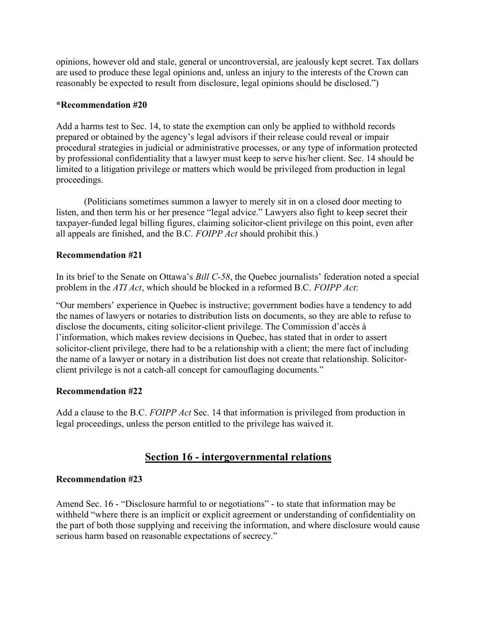opinions, however old and stale, general or uncontroversial, are jealously kept secret. Tax dollars are used to produce these legal opinions and, unless an injury to the interests of the Crown can reasonably be expected to result from disclosure, legal opinions should be disclosed.")

### \*Recommendation #20

Add a harms test to Sec. 14, to state the exemption can only be applied to withhold records prepared or obtained by the agency's legal advisors if their release could reveal or impair procedural strategies in judicial or administrative processes, or any type of information protected by professional confidentiality that a lawyer must keep to serve his/her client. Sec. 14 should be limited to a litigation privilege or matters which would be privileged from production in legal proceedings.

(Politicians sometimes summon a lawyer to merely sit in on a closed door meeting to listen, and then term his or her presence "legal advice." Lawyers also fight to keep secret their taxpayer-funded legal billing figures, claiming solicitor-client privilege on this point, even after all appeals are finished, and the B.C. FOIPP Act should prohibit this.)

# Recommendation #21

In its brief to the Senate on Ottawa's Bill C-58, the Quebec journalists' federation noted a special problem in the ATI Act, which should be blocked in a reformed B.C. FOIPP Act:

"Our members' experience in Quebec is instructive; government bodies have a tendency to add the names of lawyers or notaries to distribution lists on documents, so they are able to refuse to disclose the documents, citing solicitor-client privilege. The Commission d'accès à l'information, which makes review decisions in Quebec, has stated that in order to assert solicitor-client privilege, there had to be a relationship with a client; the mere fact of including the name of a lawyer or notary in a distribution list does not create that relationship. Solicitorclient privilege is not a catch-all concept for camouflaging documents."

# Recommendation #22

Add a clause to the B.C. FOIPP Act Sec. 14 that information is privileged from production in legal proceedings, unless the person entitled to the privilege has waived it.

# Section 16 - intergovernmental relations

# Recommendation #23

Amend Sec. 16 - "Disclosure harmful to or negotiations" - to state that information may be withheld "where there is an implicit or explicit agreement or understanding of confidentiality on the part of both those supplying and receiving the information, and where disclosure would cause serious harm based on reasonable expectations of secrecy."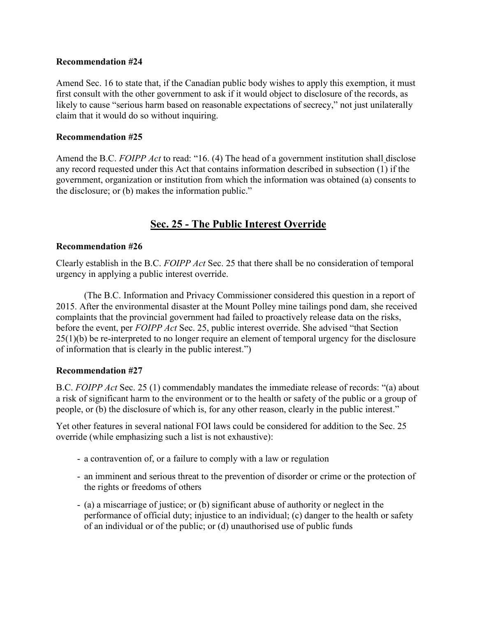Amend Sec. 16 to state that, if the Canadian public body wishes to apply this exemption, it must first consult with the other government to ask if it would object to disclosure of the records, as likely to cause "serious harm based on reasonable expectations of secrecy," not just unilaterally claim that it would do so without inquiring.

# Recommendation #25

Amend the B.C. FOIPP Act to read: "16. (4) The head of a government institution shall disclose any record requested under this Act that contains information described in subsection (1) if the government, organization or institution from which the information was obtained (a) consents to the disclosure; or (b) makes the information public."

# Sec. 25 - The Public Interest Override

# Recommendation #26

Clearly establish in the B.C. FOIPP Act Sec. 25 that there shall be no consideration of temporal urgency in applying a public interest override.

 (The B.C. Information and Privacy Commissioner considered this question in a report of 2015. After the environmental disaster at the Mount Polley mine tailings pond dam, she received complaints that the provincial government had failed to proactively release data on the risks, before the event, per FOIPP Act Sec. 25, public interest override. She advised "that Section" 25(1)(b) be re-interpreted to no longer require an element of temporal urgency for the disclosure of information that is clearly in the public interest.")

# Recommendation #27

B.C. FOIPP Act Sec. 25 (1) commendably mandates the immediate release of records: "(a) about a risk of significant harm to the environment or to the health or safety of the public or a group of people, or (b) the disclosure of which is, for any other reason, clearly in the public interest."

Yet other features in several national FOI laws could be considered for addition to the Sec. 25 override (while emphasizing such a list is not exhaustive):

- a contravention of, or a failure to comply with a law or regulation
- an imminent and serious threat to the prevention of disorder or crime or the protection of the rights or freedoms of others
- (a) a miscarriage of justice; or (b) significant abuse of authority or neglect in the performance of official duty; injustice to an individual; (c) danger to the health or safety of an individual or of the public; or (d) unauthorised use of public funds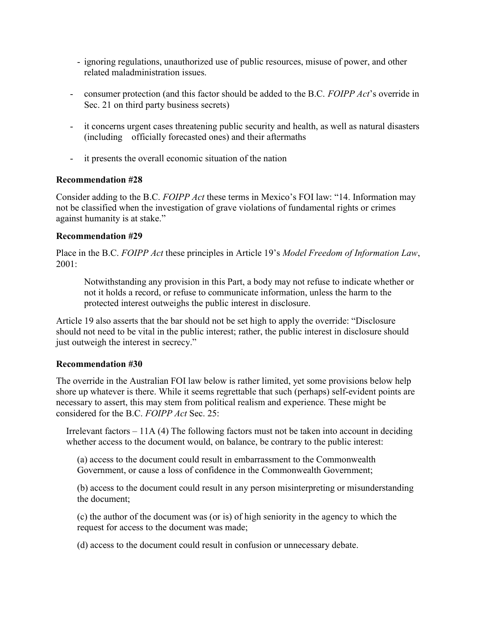- ignoring regulations, unauthorized use of public resources, misuse of power, and other related maladministration issues.
- consumer protection (and this factor should be added to the B.C. FOIPP Act's override in Sec. 21 on third party business secrets)
- it concerns urgent cases threatening public security and health, as well as natural disasters (including officially forecasted ones) and their aftermaths
- it presents the overall economic situation of the nation

Consider adding to the B.C. FOIPP Act these terms in Mexico's FOI law: "14. Information may not be classified when the investigation of grave violations of fundamental rights or crimes against humanity is at stake."

# Recommendation #29

Place in the B.C. FOIPP Act these principles in Article 19's Model Freedom of Information Law, 2001:

Notwithstanding any provision in this Part, a body may not refuse to indicate whether or not it holds a record, or refuse to communicate information, unless the harm to the protected interest outweighs the public interest in disclosure.

Article 19 also asserts that the bar should not be set high to apply the override: "Disclosure should not need to be vital in the public interest; rather, the public interest in disclosure should just outweigh the interest in secrecy."

#### Recommendation #30

The override in the Australian FOI law below is rather limited, yet some provisions below help shore up whatever is there. While it seems regrettable that such (perhaps) self-evident points are necessary to assert, this may stem from political realism and experience. These might be considered for the B.C. FOIPP Act Sec. 25:

Irrelevant factors  $-11A(4)$  The following factors must not be taken into account in deciding whether access to the document would, on balance, be contrary to the public interest:

(a) access to the document could result in embarrassment to the Commonwealth Government, or cause a loss of confidence in the Commonwealth Government;

(b) access to the document could result in any person misinterpreting or misunderstanding the document;

(c) the author of the document was (or is) of high seniority in the agency to which the request for access to the document was made;

(d) access to the document could result in confusion or unnecessary debate.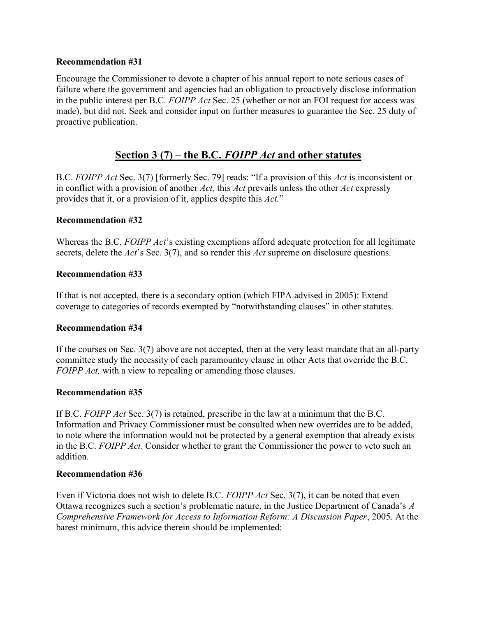Encourage the Commissioner to devote a chapter of his annual report to note serious cases of failure where the government and agencies had an obligation to proactively disclose information in the public interest per B.C. FOIPP Act Sec. 25 (whether or not an FOI request for access was made), but did not. Seek and consider input on further measures to guarantee the Sec. 25 duty of proactive publication.

# Section 3 (7) – the B.C. FOIPP Act and other statutes

B.C. FOIPP Act Sec. 3(7) [formerly Sec. 79] reads: "If a provision of this Act is inconsistent or in conflict with a provision of another Act, this Act prevails unless the other Act expressly provides that it, or a provision of it, applies despite this Act."

# Recommendation #32

Whereas the B.C. FOIPP Act's existing exemptions afford adequate protection for all legitimate secrets, delete the Act's Sec. 3(7), and so render this Act supreme on disclosure questions.

# Recommendation #33

If that is not accepted, there is a secondary option (which FIPA advised in 2005): Extend coverage to categories of records exempted by "notwithstanding clauses" in other statutes.

#### Recommendation #34

If the courses on Sec. 3(7) above are not accepted, then at the very least mandate that an all-party committee study the necessity of each paramountcy clause in other Acts that override the B.C. FOIPP Act, with a view to repealing or amending those clauses.

#### Recommendation #35

If B.C. FOIPP Act Sec. 3(7) is retained, prescribe in the law at a minimum that the B.C. Information and Privacy Commissioner must be consulted when new overrides are to be added, to note where the information would not be protected by a general exemption that already exists in the B.C. FOIPP Act. Consider whether to grant the Commissioner the power to veto such an addition.

#### Recommendation #36

Even if Victoria does not wish to delete B.C. FOIPP Act Sec. 3(7), it can be noted that even Ottawa recognizes such a section's problematic nature, in the Justice Department of Canada's A Comprehensive Framework for Access to Information Reform: A Discussion Paper, 2005. At the barest minimum, this advice therein should be implemented: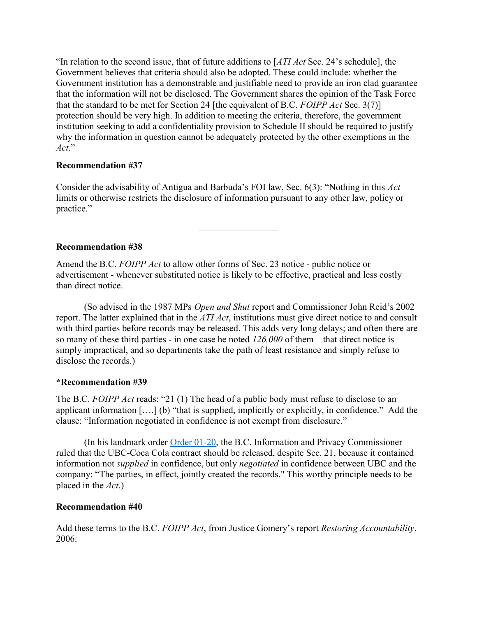"In relation to the second issue, that of future additions to  $[ATI Act$  Sec. 24's schedule], the Government believes that criteria should also be adopted. These could include: whether the Government institution has a demonstrable and justifiable need to provide an iron clad guarantee that the information will not be disclosed. The Government shares the opinion of the Task Force that the standard to be met for Section 24 [the equivalent of B.C. FOIPP Act Sec. 3(7)] protection should be very high. In addition to meeting the criteria, therefore, the government institution seeking to add a confidentiality provision to Schedule II should be required to justify why the information in question cannot be adequately protected by the other exemptions in the Act."

# Recommendation #37

Consider the advisability of Antigua and Barbuda's FOI law, Sec. 6(3): "Nothing in this Act limits or otherwise restricts the disclosure of information pursuant to any other law, policy or practice."

# Recommendation #38

Amend the B.C. FOIPP Act to allow other forms of Sec. 23 notice - public notice or advertisement - whenever substituted notice is likely to be effective, practical and less costly than direct notice.

(So advised in the 1987 MPs Open and Shut report and Commissioner John Reid's 2002 report. The latter explained that in the *ATI Act*, institutions must give direct notice to and consult with third parties before records may be released. This adds very long delays; and often there are so many of these third parties - in one case he noted 126,000 of them – that direct notice is simply impractical, and so departments take the path of least resistance and simply refuse to disclose the records.)

#### \*Recommendation #39

The B.C. FOIPP Act reads: "21 (1) The head of a public body must refuse to disclose to an applicant information [….] (b) "that is supplied, implicitly or explicitly, in confidence." Add the clause: "Information negotiated in confidence is not exempt from disclosure."

(In his landmark order Order 01-20, the B.C. Information and Privacy Commissioner ruled that the UBC-Coca Cola contract should be released, despite Sec. 21, because it contained information not supplied in confidence, but only negotiated in confidence between UBC and the company: "The parties, in effect, jointly created the records." This worthy principle needs to be placed in the Act.)

#### Recommendation #40

Add these terms to the B.C. FOIPP Act, from Justice Gomery's report Restoring Accountability, 2006: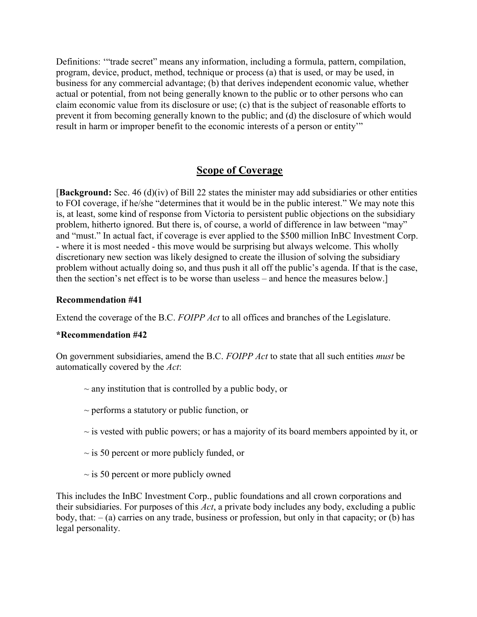Definitions: '"trade secret" means any information, including a formula, pattern, compilation, program, device, product, method, technique or process (a) that is used, or may be used, in business for any commercial advantage; (b) that derives independent economic value, whether actual or potential, from not being generally known to the public or to other persons who can claim economic value from its disclosure or use; (c) that is the subject of reasonable efforts to prevent it from becoming generally known to the public; and (d) the disclosure of which would result in harm or improper benefit to the economic interests of a person or entity'"

# Scope of Coverage

[Background: Sec. 46 (d)(iv) of Bill 22 states the minister may add subsidiaries or other entities to FOI coverage, if he/she "determines that it would be in the public interest." We may note this is, at least, some kind of response from Victoria to persistent public objections on the subsidiary problem, hitherto ignored. But there is, of course, a world of difference in law between "may" and "must." In actual fact, if coverage is ever applied to the \$500 million InBC Investment Corp. - where it is most needed - this move would be surprising but always welcome. This wholly discretionary new section was likely designed to create the illusion of solving the subsidiary problem without actually doing so, and thus push it all off the public's agenda. If that is the case, then the section's net effect is to be worse than useless – and hence the measures below.]

#### Recommendation #41

Extend the coverage of the B.C. FOIPP Act to all offices and branches of the Legislature.

#### \*Recommendation #42

On government subsidiaries, amend the B.C. FOIPP Act to state that all such entities must be automatically covered by the Act:

- $\sim$  any institution that is controlled by a public body, or
- $\sim$  performs a statutory or public function, or
- $\sim$  is vested with public powers; or has a majority of its board members appointed by it, or
- $\sim$  is 50 percent or more publicly funded, or
- $\sim$  is 50 percent or more publicly owned

This includes the InBC Investment Corp., public foundations and all crown corporations and their subsidiaries. For purposes of this Act, a private body includes any body, excluding a public body, that:  $-(a)$  carries on any trade, business or profession, but only in that capacity; or (b) has legal personality.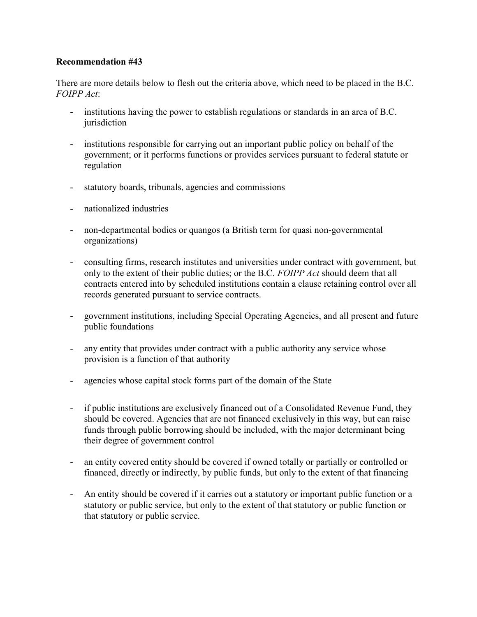There are more details below to flesh out the criteria above, which need to be placed in the B.C. FOIPP Act:

- institutions having the power to establish regulations or standards in an area of B.C. jurisdiction
- institutions responsible for carrying out an important public policy on behalf of the government; or it performs functions or provides services pursuant to federal statute or regulation
- statutory boards, tribunals, agencies and commissions
- nationalized industries
- non-departmental bodies or quangos (a British term for quasi non-governmental organizations)
- consulting firms, research institutes and universities under contract with government, but only to the extent of their public duties; or the B.C. FOIPP Act should deem that all contracts entered into by scheduled institutions contain a clause retaining control over all records generated pursuant to service contracts.
- government institutions, including Special Operating Agencies, and all present and future public foundations
- any entity that provides under contract with a public authority any service whose provision is a function of that authority
- agencies whose capital stock forms part of the domain of the State
- if public institutions are exclusively financed out of a Consolidated Revenue Fund, they should be covered. Agencies that are not financed exclusively in this way, but can raise funds through public borrowing should be included, with the major determinant being their degree of government control
- an entity covered entity should be covered if owned totally or partially or controlled or financed, directly or indirectly, by public funds, but only to the extent of that financing
- An entity should be covered if it carries out a statutory or important public function or a statutory or public service, but only to the extent of that statutory or public function or that statutory or public service.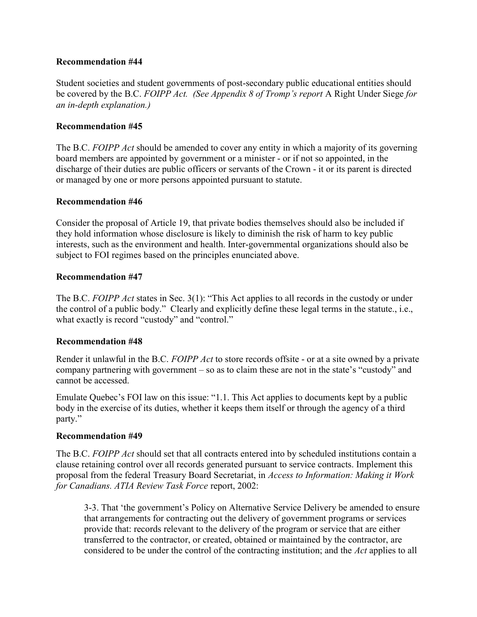Student societies and student governments of post-secondary public educational entities should be covered by the B.C. FOIPP Act. (See Appendix 8 of Tromp's report A Right Under Siege for an in-depth explanation.)

# Recommendation #45

The B.C. FOIPP Act should be amended to cover any entity in which a majority of its governing board members are appointed by government or a minister - or if not so appointed, in the discharge of their duties are public officers or servants of the Crown - it or its parent is directed or managed by one or more persons appointed pursuant to statute.

#### Recommendation #46

Consider the proposal of Article 19, that private bodies themselves should also be included if they hold information whose disclosure is likely to diminish the risk of harm to key public interests, such as the environment and health. Inter-governmental organizations should also be subject to FOI regimes based on the principles enunciated above.

#### Recommendation #47

The B.C. FOIPP Act states in Sec. 3(1): "This Act applies to all records in the custody or under the control of a public body." Clearly and explicitly define these legal terms in the statute., i.e., what exactly is record "custody" and "control."

#### Recommendation #48

Render it unlawful in the B.C. FOIPP Act to store records offsite - or at a site owned by a private company partnering with government – so as to claim these are not in the state's "custody" and cannot be accessed.

Emulate Quebec's FOI law on this issue: "1.1. This Act applies to documents kept by a public body in the exercise of its duties, whether it keeps them itself or through the agency of a third party."

#### Recommendation #49

The B.C. FOIPP Act should set that all contracts entered into by scheduled institutions contain a clause retaining control over all records generated pursuant to service contracts. Implement this proposal from the federal Treasury Board Secretariat, in Access to Information: Making it Work for Canadians. ATIA Review Task Force report, 2002:

3-3. That 'the government's Policy on Alternative Service Delivery be amended to ensure that arrangements for contracting out the delivery of government programs or services provide that: records relevant to the delivery of the program or service that are either transferred to the contractor, or created, obtained or maintained by the contractor, are considered to be under the control of the contracting institution; and the Act applies to all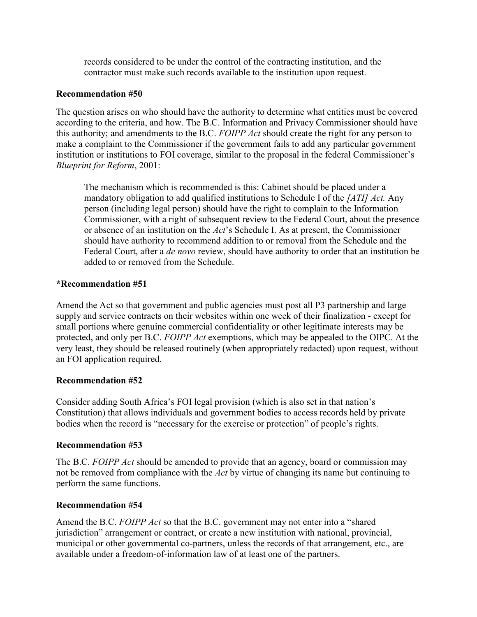records considered to be under the control of the contracting institution, and the contractor must make such records available to the institution upon request.

# Recommendation #50

The question arises on who should have the authority to determine what entities must be covered according to the criteria, and how. The B.C. Information and Privacy Commissioner should have this authority; and amendments to the B.C. FOIPP Act should create the right for any person to make a complaint to the Commissioner if the government fails to add any particular government institution or institutions to FOI coverage, similar to the proposal in the federal Commissioner's Blueprint for Reform, 2001:

The mechanism which is recommended is this: Cabinet should be placed under a mandatory obligation to add qualified institutions to Schedule I of the [ATI] Act. Any person (including legal person) should have the right to complain to the Information Commissioner, with a right of subsequent review to the Federal Court, about the presence or absence of an institution on the Act's Schedule I. As at present, the Commissioner should have authority to recommend addition to or removal from the Schedule and the Federal Court, after a *de novo* review, should have authority to order that an institution be added to or removed from the Schedule.

# \*Recommendation #51

Amend the Act so that government and public agencies must post all P3 partnership and large supply and service contracts on their websites within one week of their finalization - except for small portions where genuine commercial confidentiality or other legitimate interests may be protected, and only per B.C. FOIPP Act exemptions, which may be appealed to the OIPC. At the very least, they should be released routinely (when appropriately redacted) upon request, without an FOI application required.

#### Recommendation #52

Consider adding South Africa's FOI legal provision (which is also set in that nation's Constitution) that allows individuals and government bodies to access records held by private bodies when the record is "necessary for the exercise or protection" of people's rights.

#### Recommendation #53

The B.C. FOIPP Act should be amended to provide that an agency, board or commission may not be removed from compliance with the Act by virtue of changing its name but continuing to perform the same functions.

# Recommendation #54

Amend the B.C. FOIPP Act so that the B.C. government may not enter into a "shared jurisdiction" arrangement or contract, or create a new institution with national, provincial, municipal or other governmental co-partners, unless the records of that arrangement, etc., are available under a freedom-of-information law of at least one of the partners.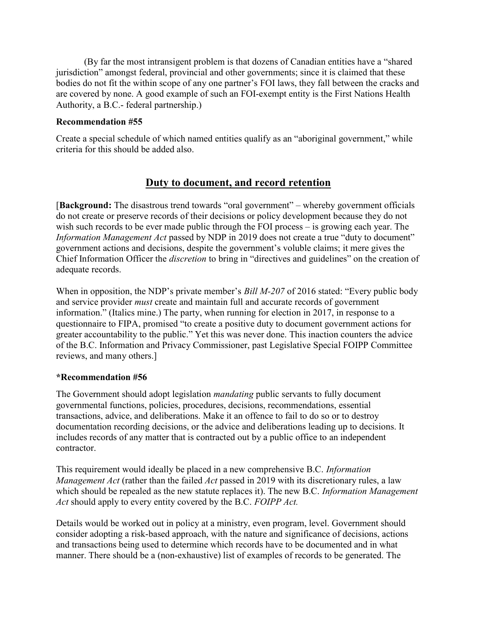(By far the most intransigent problem is that dozens of Canadian entities have a "shared jurisdiction" amongst federal, provincial and other governments; since it is claimed that these bodies do not fit the within scope of any one partner's FOI laws, they fall between the cracks and are covered by none. A good example of such an FOI-exempt entity is the First Nations Health Authority, a B.C.- federal partnership.)

# Recommendation #55

Create a special schedule of which named entities qualify as an "aboriginal government," while criteria for this should be added also.

# Duty to document, and record retention

[Background: The disastrous trend towards "oral government" – whereby government officials do not create or preserve records of their decisions or policy development because they do not wish such records to be ever made public through the FOI process – is growing each year. The Information Management Act passed by NDP in 2019 does not create a true "duty to document" government actions and decisions, despite the government's voluble claims; it mere gives the Chief Information Officer the discretion to bring in "directives and guidelines" on the creation of adequate records.

When in opposition, the NDP's private member's *Bill M-207* of 2016 stated: "Every public body and service provider must create and maintain full and accurate records of government information." (Italics mine.) The party, when running for election in 2017, in response to a questionnaire to FIPA, promised "to create a positive duty to document government actions for greater accountability to the public." Yet this was never done. This inaction counters the advice of the B.C. Information and Privacy Commissioner, past Legislative Special FOIPP Committee reviews, and many others.]

#### \*Recommendation #56

The Government should adopt legislation *mandating* public servants to fully document governmental functions, policies, procedures, decisions, recommendations, essential transactions, advice, and deliberations. Make it an offence to fail to do so or to destroy documentation recording decisions, or the advice and deliberations leading up to decisions. It includes records of any matter that is contracted out by a public office to an independent contractor.

This requirement would ideally be placed in a new comprehensive B.C. Information Management Act (rather than the failed Act passed in 2019 with its discretionary rules, a law which should be repealed as the new statute replaces it). The new B.C. *Information Management* Act should apply to every entity covered by the B.C. FOIPP Act.

Details would be worked out in policy at a ministry, even program, level. Government should consider adopting a risk-based approach, with the nature and significance of decisions, actions and transactions being used to determine which records have to be documented and in what manner. There should be a (non-exhaustive) list of examples of records to be generated. The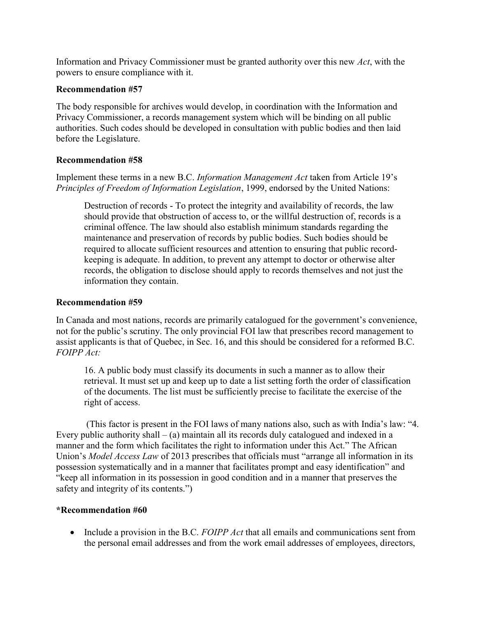Information and Privacy Commissioner must be granted authority over this new Act, with the powers to ensure compliance with it.

# Recommendation #57

The body responsible for archives would develop, in coordination with the Information and Privacy Commissioner, a records management system which will be binding on all public authorities. Such codes should be developed in consultation with public bodies and then laid before the Legislature.

# Recommendation #58

Implement these terms in a new B.C. Information Management Act taken from Article 19's Principles of Freedom of Information Legislation, 1999, endorsed by the United Nations:

Destruction of records - To protect the integrity and availability of records, the law should provide that obstruction of access to, or the willful destruction of, records is a criminal offence. The law should also establish minimum standards regarding the maintenance and preservation of records by public bodies. Such bodies should be required to allocate sufficient resources and attention to ensuring that public recordkeeping is adequate. In addition, to prevent any attempt to doctor or otherwise alter records, the obligation to disclose should apply to records themselves and not just the information they contain.

# Recommendation #59

In Canada and most nations, records are primarily catalogued for the government's convenience, not for the public's scrutiny. The only provincial FOI law that prescribes record management to assist applicants is that of Quebec, in Sec. 16, and this should be considered for a reformed B.C. FOIPP Act:

16. A public body must classify its documents in such a manner as to allow their retrieval. It must set up and keep up to date a list setting forth the order of classification of the documents. The list must be sufficiently precise to facilitate the exercise of the right of access.

 (This factor is present in the FOI laws of many nations also, such as with India's law: "4. Every public authority shall  $-$  (a) maintain all its records duly catalogued and indexed in a manner and the form which facilitates the right to information under this Act." The African Union's Model Access Law of 2013 prescribes that officials must "arrange all information in its possession systematically and in a manner that facilitates prompt and easy identification" and "keep all information in its possession in good condition and in a manner that preserves the safety and integrity of its contents.")

# \*Recommendation #60

 $\bullet$  Include a provision in the B.C. FOIPP Act that all emails and communications sent from the personal email addresses and from the work email addresses of employees, directors,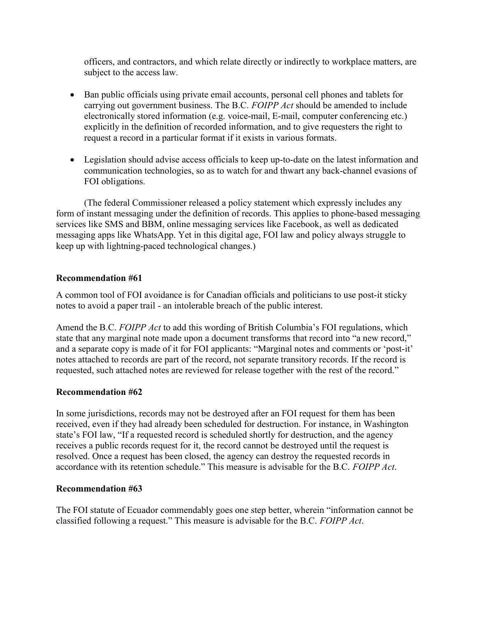officers, and contractors, and which relate directly or indirectly to workplace matters, are subject to the access law.

- Ban public officials using private email accounts, personal cell phones and tablets for carrying out government business. The B.C. FOIPP Act should be amended to include electronically stored information (e.g. voice-mail, E-mail, computer conferencing etc.) explicitly in the definition of recorded information, and to give requesters the right to request a record in a particular format if it exists in various formats.
- Legislation should advise access officials to keep up-to-date on the latest information and communication technologies, so as to watch for and thwart any back-channel evasions of FOI obligations.

(The federal Commissioner released a policy statement which expressly includes any form of instant messaging under the definition of records. This applies to phone-based messaging services like SMS and BBM, online messaging services like Facebook, as well as dedicated messaging apps like WhatsApp. Yet in this digital age, FOI law and policy always struggle to keep up with lightning-paced technological changes.)

# Recommendation #61

A common tool of FOI avoidance is for Canadian officials and politicians to use post-it sticky notes to avoid a paper trail - an intolerable breach of the public interest.

Amend the B.C. FOIPP Act to add this wording of British Columbia's FOI regulations, which state that any marginal note made upon a document transforms that record into "a new record," and a separate copy is made of it for FOI applicants: "Marginal notes and comments or 'post-it' notes attached to records are part of the record, not separate transitory records. If the record is requested, such attached notes are reviewed for release together with the rest of the record."

# Recommendation #62

In some jurisdictions, records may not be destroyed after an FOI request for them has been received, even if they had already been scheduled for destruction. For instance, in Washington state's FOI law, "If a requested record is scheduled shortly for destruction, and the agency receives a public records request for it, the record cannot be destroyed until the request is resolved. Once a request has been closed, the agency can destroy the requested records in accordance with its retention schedule." This measure is advisable for the B.C. FOIPP Act.

# Recommendation #63

The FOI statute of Ecuador commendably goes one step better, wherein "information cannot be classified following a request." This measure is advisable for the B.C. FOIPP Act.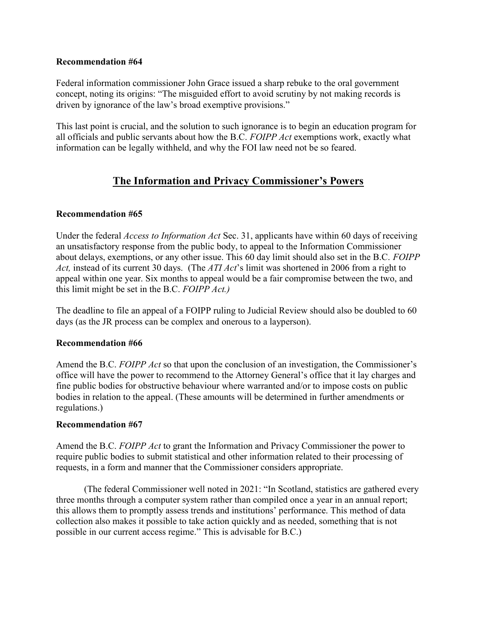Federal information commissioner John Grace issued a sharp rebuke to the oral government concept, noting its origins: "The misguided effort to avoid scrutiny by not making records is driven by ignorance of the law's broad exemptive provisions."

This last point is crucial, and the solution to such ignorance is to begin an education program for all officials and public servants about how the B.C. FOIPP Act exemptions work, exactly what information can be legally withheld, and why the FOI law need not be so feared.

# The Information and Privacy Commissioner's Powers

# Recommendation #65

Under the federal Access to Information Act Sec. 31, applicants have within 60 days of receiving an unsatisfactory response from the public body, to appeal to the Information Commissioner about delays, exemptions, or any other issue. This 60 day limit should also set in the B.C. FOIPP Act, instead of its current 30 days. (The ATI Act's limit was shortened in 2006 from a right to appeal within one year. Six months to appeal would be a fair compromise between the two, and this limit might be set in the B.C. FOIPP Act.)

The deadline to file an appeal of a FOIPP ruling to Judicial Review should also be doubled to 60 days (as the JR process can be complex and onerous to a layperson).

# Recommendation #66

Amend the B.C. FOIPP Act so that upon the conclusion of an investigation, the Commissioner's office will have the power to recommend to the Attorney General's office that it lay charges and fine public bodies for obstructive behaviour where warranted and/or to impose costs on public bodies in relation to the appeal. (These amounts will be determined in further amendments or regulations.)

# Recommendation #67

Amend the B.C. FOIPP Act to grant the Information and Privacy Commissioner the power to require public bodies to submit statistical and other information related to their processing of requests, in a form and manner that the Commissioner considers appropriate.

 (The federal Commissioner well noted in 2021: "In Scotland, statistics are gathered every three months through a computer system rather than compiled once a year in an annual report; this allows them to promptly assess trends and institutions' performance. This method of data collection also makes it possible to take action quickly and as needed, something that is not possible in our current access regime." This is advisable for B.C.)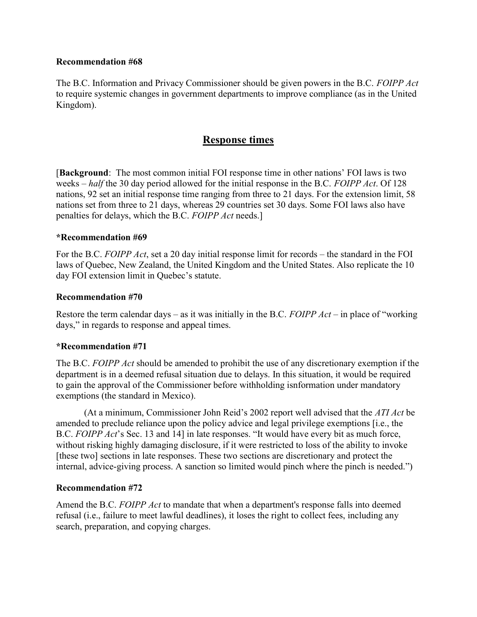The B.C. Information and Privacy Commissioner should be given powers in the B.C. FOIPP Act to require systemic changes in government departments to improve compliance (as in the United Kingdom).

# Response times

[Background: The most common initial FOI response time in other nations' FOI laws is two weeks – half the 30 day period allowed for the initial response in the B.C. FOIPP Act. Of 128 nations, 92 set an initial response time ranging from three to 21 days. For the extension limit, 58 nations set from three to 21 days, whereas 29 countries set 30 days. Some FOI laws also have penalties for delays, which the B.C. FOIPP Act needs.]

#### \*Recommendation #69

For the B.C. FOIPP Act, set a 20 day initial response limit for records – the standard in the FOI laws of Quebec, New Zealand, the United Kingdom and the United States. Also replicate the 10 day FOI extension limit in Quebec's statute.

#### Recommendation #70

Restore the term calendar days – as it was initially in the B.C. FOIPP  $Act$  – in place of "working" days," in regards to response and appeal times.

#### \*Recommendation #71

The B.C. FOIPP Act should be amended to prohibit the use of any discretionary exemption if the department is in a deemed refusal situation due to delays. In this situation, it would be required to gain the approval of the Commissioner before withholding isnformation under mandatory exemptions (the standard in Mexico).

(At a minimum, Commissioner John Reid's 2002 report well advised that the *ATI Act* be amended to preclude reliance upon the policy advice and legal privilege exemptions [i.e., the B.C. FOIPP Act's Sec. 13 and 14] in late responses. "It would have every bit as much force, without risking highly damaging disclosure, if it were restricted to loss of the ability to invoke [these two] sections in late responses. These two sections are discretionary and protect the internal, advice-giving process. A sanction so limited would pinch where the pinch is needed.")

#### Recommendation #72

Amend the B.C. FOIPP Act to mandate that when a department's response falls into deemed refusal (i.e., failure to meet lawful deadlines), it loses the right to collect fees, including any search, preparation, and copying charges.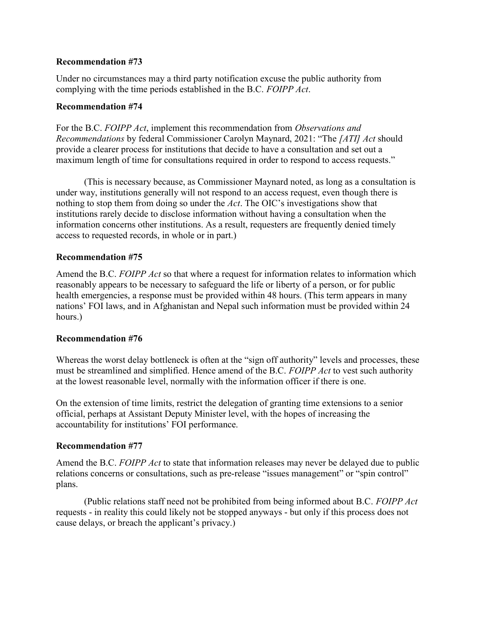Under no circumstances may a third party notification excuse the public authority from complying with the time periods established in the B.C. FOIPP Act.

### Recommendation #74

For the B.C. FOIPP Act, implement this recommendation from Observations and Recommendations by federal Commissioner Carolyn Maynard, 2021: "The [ATI] Act should provide a clearer process for institutions that decide to have a consultation and set out a maximum length of time for consultations required in order to respond to access requests."

 (This is necessary because, as Commissioner Maynard noted, as long as a consultation is under way, institutions generally will not respond to an access request, even though there is nothing to stop them from doing so under the Act. The OIC's investigations show that institutions rarely decide to disclose information without having a consultation when the information concerns other institutions. As a result, requesters are frequently denied timely access to requested records, in whole or in part.)

# Recommendation #75

Amend the B.C. FOIPP Act so that where a request for information relates to information which reasonably appears to be necessary to safeguard the life or liberty of a person, or for public health emergencies, a response must be provided within 48 hours. (This term appears in many nations' FOI laws, and in Afghanistan and Nepal such information must be provided within 24 hours.)

#### Recommendation #76

Whereas the worst delay bottleneck is often at the "sign off authority" levels and processes, these must be streamlined and simplified. Hence amend of the B.C. FOIPP Act to vest such authority at the lowest reasonable level, normally with the information officer if there is one.

On the extension of time limits, restrict the delegation of granting time extensions to a senior official, perhaps at Assistant Deputy Minister level, with the hopes of increasing the accountability for institutions' FOI performance.

# Recommendation #77

Amend the B.C. FOIPP Act to state that information releases may never be delayed due to public relations concerns or consultations, such as pre-release "issues management" or "spin control" plans.

(Public relations staff need not be prohibited from being informed about B.C. FOIPP Act requests - in reality this could likely not be stopped anyways - but only if this process does not cause delays, or breach the applicant's privacy.)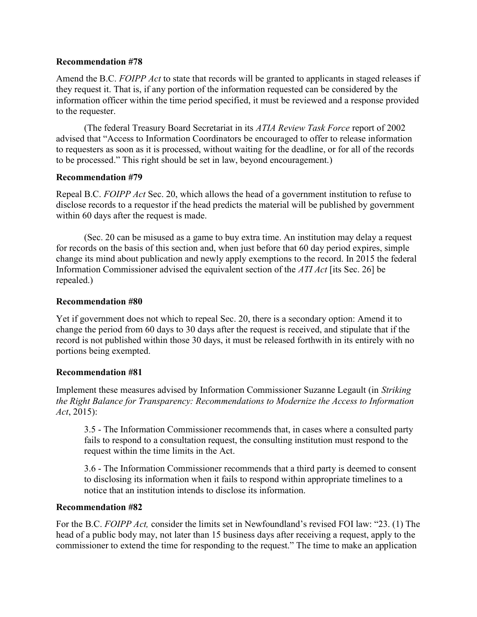Amend the B.C. FOIPP Act to state that records will be granted to applicants in staged releases if they request it. That is, if any portion of the information requested can be considered by the information officer within the time period specified, it must be reviewed and a response provided to the requester.

(The federal Treasury Board Secretariat in its ATIA Review Task Force report of 2002 advised that "Access to Information Coordinators be encouraged to offer to release information to requesters as soon as it is processed, without waiting for the deadline, or for all of the records to be processed." This right should be set in law, beyond encouragement.)

# Recommendation #79

Repeal B.C. FOIPP Act Sec. 20, which allows the head of a government institution to refuse to disclose records to a requestor if the head predicts the material will be published by government within 60 days after the request is made.

(Sec. 20 can be misused as a game to buy extra time. An institution may delay a request for records on the basis of this section and, when just before that 60 day period expires, simple change its mind about publication and newly apply exemptions to the record. In 2015 the federal Information Commissioner advised the equivalent section of the ATI Act [its Sec. 26] be repealed.)

# Recommendation #80

Yet if government does not which to repeal Sec. 20, there is a secondary option: Amend it to change the period from 60 days to 30 days after the request is received, and stipulate that if the record is not published within those 30 days, it must be released forthwith in its entirely with no portions being exempted.

# Recommendation #81

Implement these measures advised by Information Commissioner Suzanne Legault (in Striking the Right Balance for Transparency: Recommendations to Modernize the Access to Information Act, 2015):

3.5 - The Information Commissioner recommends that, in cases where a consulted party fails to respond to a consultation request, the consulting institution must respond to the request within the time limits in the Act.

3.6 - The Information Commissioner recommends that a third party is deemed to consent to disclosing its information when it fails to respond within appropriate timelines to a notice that an institution intends to disclose its information.

# Recommendation #82

For the B.C. FOIPP Act, consider the limits set in Newfoundland's revised FOI law: "23. (1) The head of a public body may, not later than 15 business days after receiving a request, apply to the commissioner to extend the time for responding to the request." The time to make an application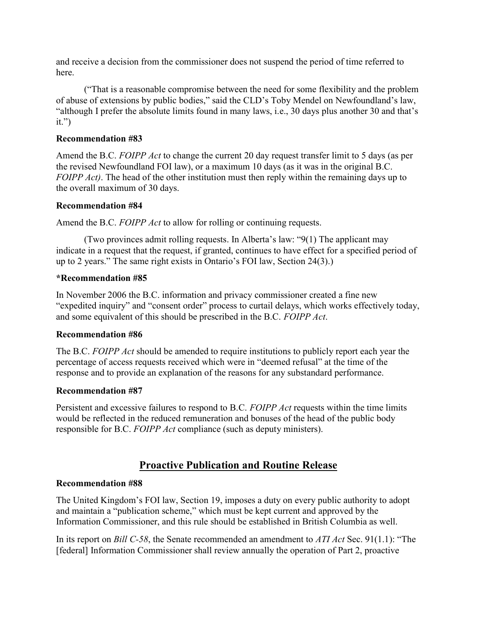and receive a decision from the commissioner does not suspend the period of time referred to here.

("That is a reasonable compromise between the need for some flexibility and the problem of abuse of extensions by public bodies," said the CLD's Toby Mendel on Newfoundland's law, "although I prefer the absolute limits found in many laws, i.e., 30 days plus another 30 and that's it.")

# Recommendation #83

Amend the B.C. FOIPP Act to change the current 20 day request transfer limit to 5 days (as per the revised Newfoundland FOI law), or a maximum 10 days (as it was in the original B.C. FOIPP Act). The head of the other institution must then reply within the remaining days up to the overall maximum of 30 days.

# Recommendation #84

Amend the B.C. FOIPP Act to allow for rolling or continuing requests.

(Two provinces admit rolling requests. In Alberta's law: "9(1) The applicant may indicate in a request that the request, if granted, continues to have effect for a specified period of up to 2 years." The same right exists in Ontario's FOI law, Section 24(3).)

# \*Recommendation #85

In November 2006 the B.C. information and privacy commissioner created a fine new "expedited inquiry" and "consent order" process to curtail delays, which works effectively today, and some equivalent of this should be prescribed in the B.C. FOIPP Act.

# Recommendation #86

The B.C. FOIPP Act should be amended to require institutions to publicly report each year the percentage of access requests received which were in "deemed refusal" at the time of the response and to provide an explanation of the reasons for any substandard performance.

#### Recommendation #87

Persistent and excessive failures to respond to B.C. FOIPP Act requests within the time limits would be reflected in the reduced remuneration and bonuses of the head of the public body responsible for B.C. FOIPP Act compliance (such as deputy ministers).

# Proactive Publication and Routine Release

# Recommendation #88

The United Kingdom's FOI law, Section 19, imposes a duty on every public authority to adopt and maintain a "publication scheme," which must be kept current and approved by the Information Commissioner, and this rule should be established in British Columbia as well.

In its report on *Bill C-58*, the Senate recommended an amendment to *ATI Act* Sec. 91(1.1): "The [federal] Information Commissioner shall review annually the operation of Part 2, proactive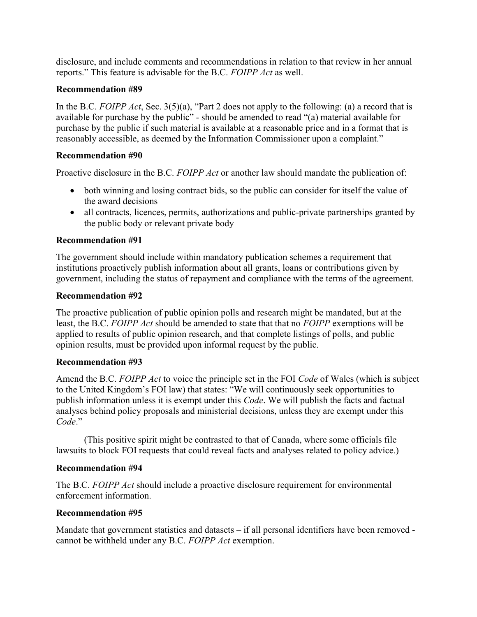disclosure, and include comments and recommendations in relation to that review in her annual reports." This feature is advisable for the B.C. FOIPP Act as well.

# Recommendation #89

In the B.C. FOIPP Act, Sec.  $3(5)(a)$ , "Part 2 does not apply to the following: (a) a record that is available for purchase by the public" - should be amended to read "(a) material available for purchase by the public if such material is available at a reasonable price and in a format that is reasonably accessible, as deemed by the Information Commissioner upon a complaint."

# Recommendation #90

Proactive disclosure in the B.C. *FOIPP Act* or another law should mandate the publication of:

- both winning and losing contract bids, so the public can consider for itself the value of the award decisions
- all contracts, licences, permits, authorizations and public-private partnerships granted by the public body or relevant private body

# Recommendation #91

The government should include within mandatory publication schemes a requirement that institutions proactively publish information about all grants, loans or contributions given by government, including the status of repayment and compliance with the terms of the agreement.

# Recommendation #92

The proactive publication of public opinion polls and research might be mandated, but at the least, the B.C. FOIPP Act should be amended to state that that no FOIPP exemptions will be applied to results of public opinion research, and that complete listings of polls, and public opinion results, must be provided upon informal request by the public.

#### Recommendation #93

Amend the B.C. FOIPP Act to voice the principle set in the FOI Code of Wales (which is subject to the United Kingdom's FOI law) that states: "We will continuously seek opportunities to publish information unless it is exempt under this Code. We will publish the facts and factual analyses behind policy proposals and ministerial decisions, unless they are exempt under this Code."

(This positive spirit might be contrasted to that of Canada, where some officials file lawsuits to block FOI requests that could reveal facts and analyses related to policy advice.)

# Recommendation #94

The B.C. FOIPP Act should include a proactive disclosure requirement for environmental enforcement information.

#### Recommendation #95

Mandate that government statistics and datasets – if all personal identifiers have been removed cannot be withheld under any B.C. FOIPP Act exemption.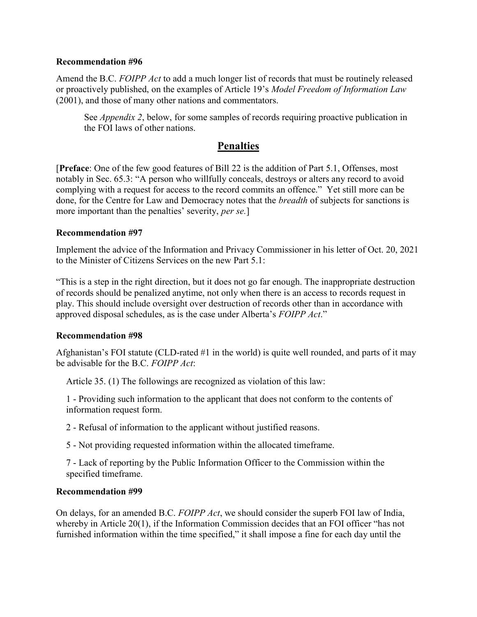Amend the B.C. FOIPP Act to add a much longer list of records that must be routinely released or proactively published, on the examples of Article 19's Model Freedom of Information Law (2001), and those of many other nations and commentators.

See *Appendix 2*, below, for some samples of records requiring proactive publication in the FOI laws of other nations.

# **Penalties**

[Preface: One of the few good features of Bill 22 is the addition of Part 5.1, Offenses, most notably in Sec. 65.3: "A person who willfully conceals, destroys or alters any record to avoid complying with a request for access to the record commits an offence." Yet still more can be done, for the Centre for Law and Democracy notes that the breadth of subjects for sanctions is more important than the penalties' severity, *per se*.]

#### Recommendation #97

Implement the advice of the Information and Privacy Commissioner in his letter of Oct. 20, 2021 to the Minister of Citizens Services on the new Part 5.1:

"This is a step in the right direction, but it does not go far enough. The inappropriate destruction of records should be penalized anytime, not only when there is an access to records request in play. This should include oversight over destruction of records other than in accordance with approved disposal schedules, as is the case under Alberta's FOIPP Act."

#### Recommendation #98

Afghanistan's FOI statute (CLD-rated #1 in the world) is quite well rounded, and parts of it may be advisable for the B.C. FOIPP Act:

Article 35. (1) The followings are recognized as violation of this law:

1 - Providing such information to the applicant that does not conform to the contents of information request form.

2 - Refusal of information to the applicant without justified reasons.

5 - Not providing requested information within the allocated timeframe.

7 - Lack of reporting by the Public Information Officer to the Commission within the specified timeframe.

# Recommendation #99

On delays, for an amended B.C. FOIPP Act, we should consider the superb FOI law of India, whereby in Article 20(1), if the Information Commission decides that an FOI officer "has not furnished information within the time specified," it shall impose a fine for each day until the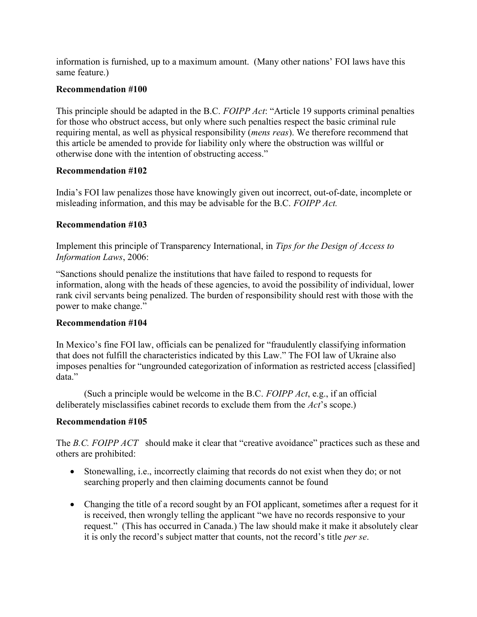information is furnished, up to a maximum amount. (Many other nations' FOI laws have this same feature.)

# Recommendation #100

This principle should be adapted in the B.C. FOIPP Act: "Article 19 supports criminal penalties for those who obstruct access, but only where such penalties respect the basic criminal rule requiring mental, as well as physical responsibility (*mens reas*). We therefore recommend that this article be amended to provide for liability only where the obstruction was willful or otherwise done with the intention of obstructing access."

# Recommendation #102

India's FOI law penalizes those have knowingly given out incorrect, out-of-date, incomplete or misleading information, and this may be advisable for the B.C. FOIPP Act.

# Recommendation #103

Implement this principle of Transparency International, in Tips for the Design of Access to Information Laws, 2006:

"Sanctions should penalize the institutions that have failed to respond to requests for information, along with the heads of these agencies, to avoid the possibility of individual, lower rank civil servants being penalized. The burden of responsibility should rest with those with the power to make change."

# Recommendation #104

In Mexico's fine FOI law, officials can be penalized for "fraudulently classifying information that does not fulfill the characteristics indicated by this Law." The FOI law of Ukraine also imposes penalties for "ungrounded categorization of information as restricted access [classified] data."

(Such a principle would be welcome in the B.C. FOIPP Act, e.g., if an official deliberately misclassifies cabinet records to exclude them from the Act's scope.)

# Recommendation #105

The B.C. FOIPP ACT should make it clear that "creative avoidance" practices such as these and others are prohibited:

- Stonewalling, i.e., incorrectly claiming that records do not exist when they do; or not searching properly and then claiming documents cannot be found
- Changing the title of a record sought by an FOI applicant, sometimes after a request for it is received, then wrongly telling the applicant "we have no records responsive to your request." (This has occurred in Canada.) The law should make it make it absolutely clear it is only the record's subject matter that counts, not the record's title *per se*.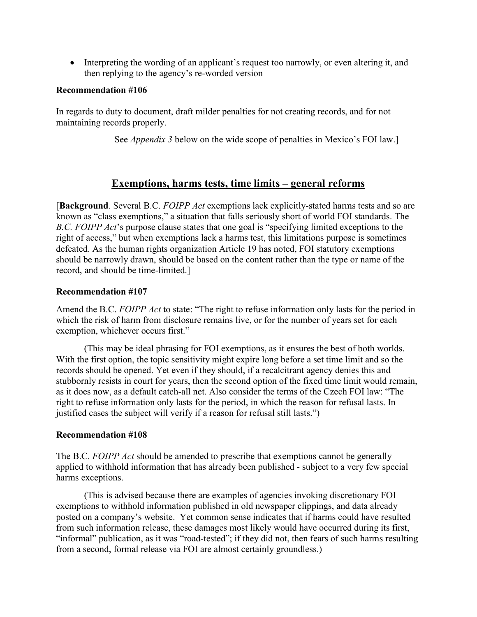• Interpreting the wording of an applicant's request too narrowly, or even altering it, and then replying to the agency's re-worded version

### Recommendation #106

In regards to duty to document, draft milder penalties for not creating records, and for not maintaining records properly.

See *Appendix 3* below on the wide scope of penalties in Mexico's FOI law.]

# Exemptions, harms tests, time limits – general reforms

[Background. Several B.C. FOIPP Act exemptions lack explicitly-stated harms tests and so are known as "class exemptions," a situation that falls seriously short of world FOI standards. The B.C. FOIPP Act's purpose clause states that one goal is "specifying limited exceptions to the right of access," but when exemptions lack a harms test, this limitations purpose is sometimes defeated. As the human rights organization Article 19 has noted, FOI statutory exemptions should be narrowly drawn, should be based on the content rather than the type or name of the record, and should be time-limited.]

# Recommendation #107

Amend the B.C. FOIPP Act to state: "The right to refuse information only lasts for the period in which the risk of harm from disclosure remains live, or for the number of years set for each exemption, whichever occurs first."

 (This may be ideal phrasing for FOI exemptions, as it ensures the best of both worlds. With the first option, the topic sensitivity might expire long before a set time limit and so the records should be opened. Yet even if they should, if a recalcitrant agency denies this and stubbornly resists in court for years, then the second option of the fixed time limit would remain, as it does now, as a default catch-all net. Also consider the terms of the Czech FOI law: "The right to refuse information only lasts for the period, in which the reason for refusal lasts. In justified cases the subject will verify if a reason for refusal still lasts.")

# Recommendation #108

The B.C. FOIPP Act should be amended to prescribe that exemptions cannot be generally applied to withhold information that has already been published - subject to a very few special harms exceptions.

 (This is advised because there are examples of agencies invoking discretionary FOI exemptions to withhold information published in old newspaper clippings, and data already posted on a company's website. Yet common sense indicates that if harms could have resulted from such information release, these damages most likely would have occurred during its first, "informal" publication, as it was "road-tested"; if they did not, then fears of such harms resulting from a second, formal release via FOI are almost certainly groundless.)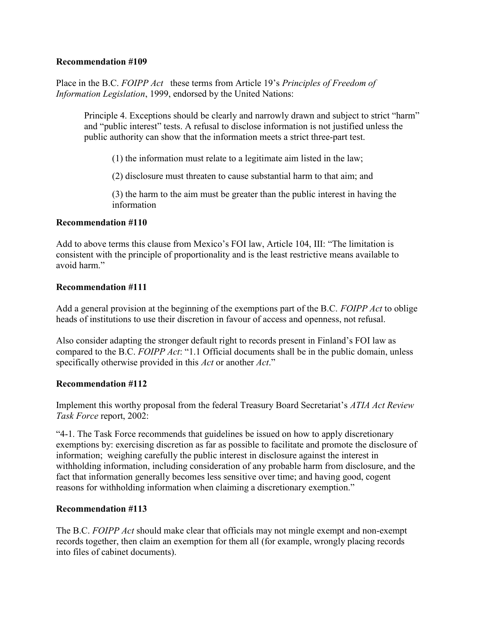Place in the B.C. FOIPP Act these terms from Article 19's Principles of Freedom of Information Legislation, 1999, endorsed by the United Nations:

Principle 4. Exceptions should be clearly and narrowly drawn and subject to strict "harm" and "public interest" tests. A refusal to disclose information is not justified unless the public authority can show that the information meets a strict three-part test.

(1) the information must relate to a legitimate aim listed in the law;

(2) disclosure must threaten to cause substantial harm to that aim; and

(3) the harm to the aim must be greater than the public interest in having the information

# Recommendation #110

Add to above terms this clause from Mexico's FOI law, Article 104, III: "The limitation is consistent with the principle of proportionality and is the least restrictive means available to avoid harm."

# Recommendation #111

Add a general provision at the beginning of the exemptions part of the B.C. FOIPP Act to oblige heads of institutions to use their discretion in favour of access and openness, not refusal.

Also consider adapting the stronger default right to records present in Finland's FOI law as compared to the B.C. FOIPP Act: "1.1 Official documents shall be in the public domain, unless specifically otherwise provided in this Act or another Act."

#### Recommendation #112

Implement this worthy proposal from the federal Treasury Board Secretariat's ATIA Act Review Task Force report, 2002:

"4-1. The Task Force recommends that guidelines be issued on how to apply discretionary exemptions by: exercising discretion as far as possible to facilitate and promote the disclosure of information; weighing carefully the public interest in disclosure against the interest in withholding information, including consideration of any probable harm from disclosure, and the fact that information generally becomes less sensitive over time; and having good, cogent reasons for withholding information when claiming a discretionary exemption."

# Recommendation #113

The B.C. FOIPP Act should make clear that officials may not mingle exempt and non-exempt records together, then claim an exemption for them all (for example, wrongly placing records into files of cabinet documents).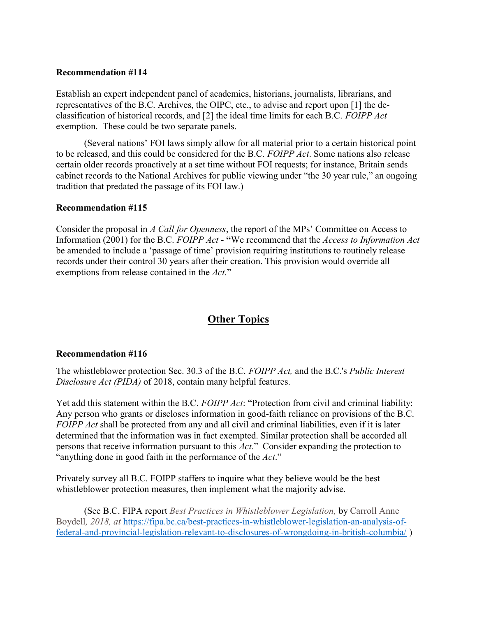Establish an expert independent panel of academics, historians, journalists, librarians, and representatives of the B.C. Archives, the OIPC, etc., to advise and report upon [1] the declassification of historical records, and [2] the ideal time limits for each B.C. FOIPP Act exemption. These could be two separate panels.

 (Several nations' FOI laws simply allow for all material prior to a certain historical point to be released, and this could be considered for the B.C. FOIPP Act. Some nations also release certain older records proactively at a set time without FOI requests; for instance, Britain sends cabinet records to the National Archives for public viewing under "the 30 year rule," an ongoing tradition that predated the passage of its FOI law.)

#### Recommendation #115

Consider the proposal in A Call for Openness, the report of the MPs' Committee on Access to Information (2001) for the B.C. FOIPP Act - "We recommend that the Access to Information Act be amended to include a 'passage of time' provision requiring institutions to routinely release records under their control 30 years after their creation. This provision would override all exemptions from release contained in the Act."

# Other Topics

#### Recommendation #116

The whistleblower protection Sec. 30.3 of the B.C. FOIPP Act, and the B.C.'s Public Interest Disclosure Act (PIDA) of 2018, contain many helpful features.

Yet add this statement within the B.C. FOIPP Act: "Protection from civil and criminal liability: Any person who grants or discloses information in good-faith reliance on provisions of the B.C. FOIPP Act shall be protected from any and all civil and criminal liabilities, even if it is later determined that the information was in fact exempted. Similar protection shall be accorded all persons that receive information pursuant to this Act." Consider expanding the protection to "anything done in good faith in the performance of the Act."

Privately survey all B.C. FOIPP staffers to inquire what they believe would be the best whistleblower protection measures, then implement what the majority advise.

 (See B.C. FIPA report Best Practices in Whistleblower Legislation, by Carroll Anne Boydell, 2018, at https://fipa.bc.ca/best-practices-in-whistleblower-legislation-an-analysis-offederal-and-provincial-legislation-relevant-to-disclosures-of-wrongdoing-in-british-columbia/ )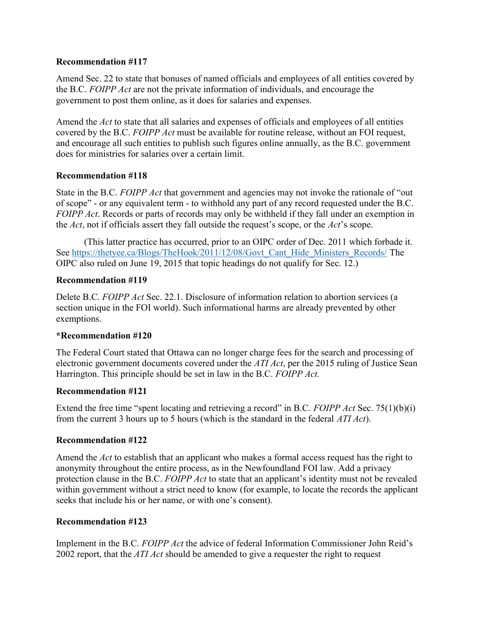Amend Sec. 22 to state that bonuses of named officials and employees of all entities covered by the B.C. FOIPP Act are not the private information of individuals, and encourage the government to post them online, as it does for salaries and expenses.

Amend the Act to state that all salaries and expenses of officials and employees of all entities covered by the B.C. FOIPP Act must be available for routine release, without an FOI request, and encourage all such entities to publish such figures online annually, as the B.C. government does for ministries for salaries over a certain limit.

# Recommendation #118

State in the B.C. FOIPP Act that government and agencies may not invoke the rationale of "out of scope" - or any equivalent term - to withhold any part of any record requested under the B.C. FOIPP Act. Records or parts of records may only be withheld if they fall under an exemption in the Act, not if officials assert they fall outside the request's scope, or the Act's scope.

(This latter practice has occurred, prior to an OIPC order of Dec. 2011 which forbade it. See https://thetyee.ca/Blogs/TheHook/2011/12/08/Govt\_Cant\_Hide\_Ministers\_Records/ The OIPC also ruled on June 19, 2015 that topic headings do not qualify for Sec. 12.)

# Recommendation #119

Delete B.C. FOIPP Act Sec. 22.1. Disclosure of information relation to abortion services (a section unique in the FOI world). Such informational harms are already prevented by other exemptions.

#### \*Recommendation #120

The Federal Court stated that Ottawa can no longer charge fees for the search and processing of electronic government documents covered under the *ATI Act*, per the 2015 ruling of Justice Sean Harrington. This principle should be set in law in the B.C. FOIPP Act.

#### Recommendation #121

Extend the free time "spent locating and retrieving a record" in B.C. FOIPP Act Sec. 75(1)(b)(i) from the current 3 hours up to 5 hours (which is the standard in the federal ATI Act).

#### Recommendation #122

Amend the Act to establish that an applicant who makes a formal access request has the right to anonymity throughout the entire process, as in the Newfoundland FOI law. Add a privacy protection clause in the B.C. FOIPP Act to state that an applicant's identity must not be revealed within government without a strict need to know (for example, to locate the records the applicant seeks that include his or her name, or with one's consent).

#### Recommendation #123

Implement in the B.C. FOIPP Act the advice of federal Information Commissioner John Reid's 2002 report, that the  $ATI$  Act should be amended to give a requester the right to request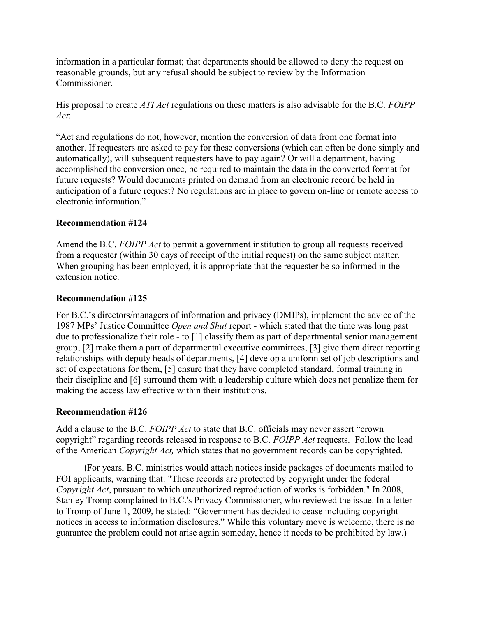information in a particular format; that departments should be allowed to deny the request on reasonable grounds, but any refusal should be subject to review by the Information Commissioner.

His proposal to create *ATI Act* regulations on these matters is also advisable for the B.C. FOIPP Act:

"Act and regulations do not, however, mention the conversion of data from one format into another. If requesters are asked to pay for these conversions (which can often be done simply and automatically), will subsequent requesters have to pay again? Or will a department, having accomplished the conversion once, be required to maintain the data in the converted format for future requests? Would documents printed on demand from an electronic record be held in anticipation of a future request? No regulations are in place to govern on-line or remote access to electronic information."

# Recommendation #124

Amend the B.C. FOIPP Act to permit a government institution to group all requests received from a requester (within 30 days of receipt of the initial request) on the same subject matter. When grouping has been employed, it is appropriate that the requester be so informed in the extension notice.

# Recommendation #125

For B.C.'s directors/managers of information and privacy (DMIPs), implement the advice of the 1987 MPs' Justice Committee Open and Shut report - which stated that the time was long past due to professionalize their role - to [1] classify them as part of departmental senior management group, [2] make them a part of departmental executive committees, [3] give them direct reporting relationships with deputy heads of departments, [4] develop a uniform set of job descriptions and set of expectations for them, [5] ensure that they have completed standard, formal training in their discipline and [6] surround them with a leadership culture which does not penalize them for making the access law effective within their institutions.

#### Recommendation #126

Add a clause to the B.C. FOIPP Act to state that B.C. officials may never assert "crown" copyright" regarding records released in response to B.C. FOIPP Act requests. Follow the lead of the American Copyright Act, which states that no government records can be copyrighted.

(For years, B.C. ministries would attach notices inside packages of documents mailed to FOI applicants, warning that: "These records are protected by copyright under the federal Copyright Act, pursuant to which unauthorized reproduction of works is forbidden." In 2008, Stanley Tromp complained to B.C.'s Privacy Commissioner, who reviewed the issue. In a letter to Tromp of June 1, 2009, he stated: "Government has decided to cease including copyright notices in access to information disclosures." While this voluntary move is welcome, there is no guarantee the problem could not arise again someday, hence it needs to be prohibited by law.)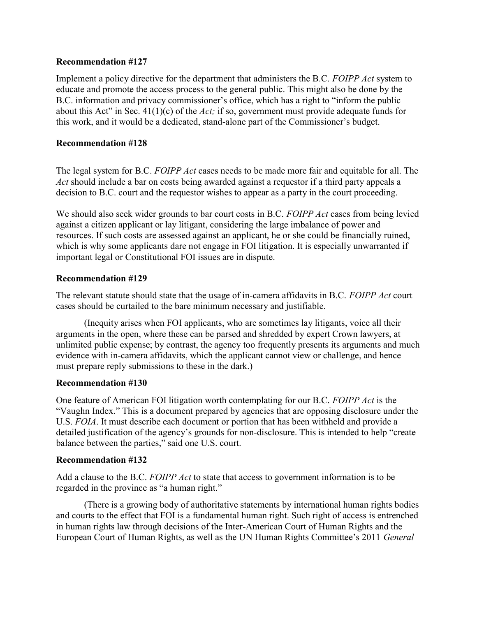Implement a policy directive for the department that administers the B.C. FOIPP Act system to educate and promote the access process to the general public. This might also be done by the B.C. information and privacy commissioner's office, which has a right to "inform the public about this Act" in Sec.  $41(1)(c)$  of the *Act*; if so, government must provide adequate funds for this work, and it would be a dedicated, stand-alone part of the Commissioner's budget.

#### Recommendation #128

The legal system for B.C. FOIPP Act cases needs to be made more fair and equitable for all. The Act should include a bar on costs being awarded against a requestor if a third party appeals a decision to B.C. court and the requestor wishes to appear as a party in the court proceeding.

We should also seek wider grounds to bar court costs in B.C. FOIPP Act cases from being levied against a citizen applicant or lay litigant, considering the large imbalance of power and resources. If such costs are assessed against an applicant, he or she could be financially ruined, which is why some applicants dare not engage in FOI litigation. It is especially unwarranted if important legal or Constitutional FOI issues are in dispute.

#### Recommendation #129

The relevant statute should state that the usage of in-camera affidavits in B.C. FOIPP Act court cases should be curtailed to the bare minimum necessary and justifiable.

 (Inequity arises when FOI applicants, who are sometimes lay litigants, voice all their arguments in the open, where these can be parsed and shredded by expert Crown lawyers, at unlimited public expense; by contrast, the agency too frequently presents its arguments and much evidence with in-camera affidavits, which the applicant cannot view or challenge, and hence must prepare reply submissions to these in the dark.)

#### Recommendation #130

One feature of American FOI litigation worth contemplating for our B.C. FOIPP Act is the "Vaughn Index." This is a document prepared by agencies that are opposing disclosure under the U.S. FOIA. It must describe each document or portion that has been withheld and provide a detailed justification of the agency's grounds for non-disclosure. This is intended to help "create balance between the parties," said one U.S. court.

#### Recommendation #132

Add a clause to the B.C. FOIPP Act to state that access to government information is to be regarded in the province as "a human right."

 (There is a growing body of authoritative statements by international human rights bodies and courts to the effect that FOI is a fundamental human right. Such right of access is entrenched in human rights law through decisions of the Inter-American Court of Human Rights and the European Court of Human Rights, as well as the UN Human Rights Committee's 2011 General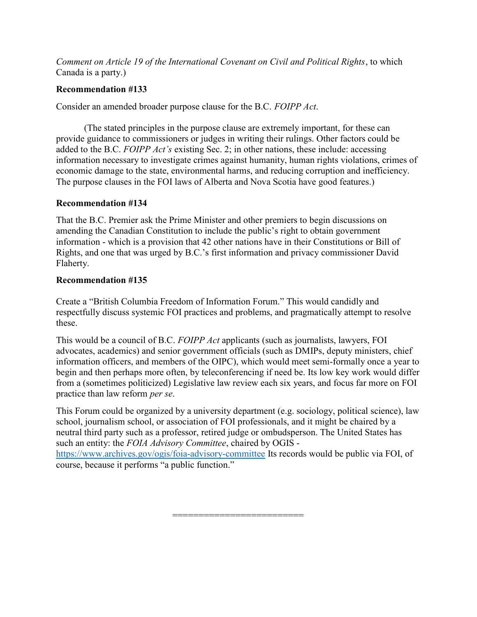Comment on Article 19 of the International Covenant on Civil and Political Rights, to which Canada is a party.)

### Recommendation #133

Consider an amended broader purpose clause for the B.C. FOIPP Act.

 (The stated principles in the purpose clause are extremely important, for these can provide guidance to commissioners or judges in writing their rulings. Other factors could be added to the B.C. FOIPP Act's existing Sec. 2; in other nations, these include: accessing information necessary to investigate crimes against humanity, human rights violations, crimes of economic damage to the state, environmental harms, and reducing corruption and inefficiency. The purpose clauses in the FOI laws of Alberta and Nova Scotia have good features.)

# Recommendation #134

That the B.C. Premier ask the Prime Minister and other premiers to begin discussions on amending the Canadian Constitution to include the public's right to obtain government information - which is a provision that 42 other nations have in their Constitutions or Bill of Rights, and one that was urged by B.C.'s first information and privacy commissioner David Flaherty.

#### Recommendation #135

Create a "British Columbia Freedom of Information Forum." This would candidly and respectfully discuss systemic FOI practices and problems, and pragmatically attempt to resolve these.

This would be a council of B.C. FOIPP Act applicants (such as journalists, lawyers, FOI advocates, academics) and senior government officials (such as DMIPs, deputy ministers, chief information officers, and members of the OIPC), which would meet semi-formally once a year to begin and then perhaps more often, by teleconferencing if need be. Its low key work would differ from a (sometimes politicized) Legislative law review each six years, and focus far more on FOI practice than law reform per se.

This Forum could be organized by a university department (e.g. sociology, political science), law school, journalism school, or association of FOI professionals, and it might be chaired by a neutral third party such as a professor, retired judge or ombudsperson. The United States has such an entity: the FOIA Advisory Committee, chaired by OGIS https://www.archives.gov/ogis/foia-advisory-committee Its records would be public via FOI, of course, because it performs "a public function."

=========================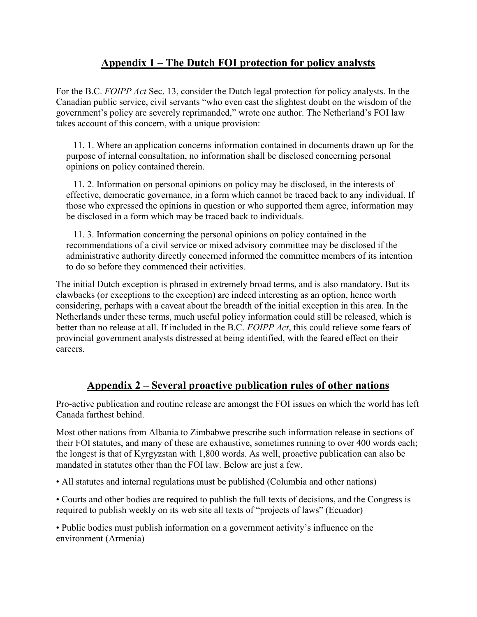# Appendix 1 – The Dutch FOI protection for policy analysts

For the B.C. FOIPP Act Sec. 13, consider the Dutch legal protection for policy analysts. In the Canadian public service, civil servants "who even cast the slightest doubt on the wisdom of the government's policy are severely reprimanded," wrote one author. The Netherland's FOI law takes account of this concern, with a unique provision:

11. 1. Where an application concerns information contained in documents drawn up for the purpose of internal consultation, no information shall be disclosed concerning personal opinions on policy contained therein.

11. 2. Information on personal opinions on policy may be disclosed, in the interests of effective, democratic governance, in a form which cannot be traced back to any individual. If those who expressed the opinions in question or who supported them agree, information may be disclosed in a form which may be traced back to individuals.

11. 3. Information concerning the personal opinions on policy contained in the recommendations of a civil service or mixed advisory committee may be disclosed if the administrative authority directly concerned informed the committee members of its intention to do so before they commenced their activities.

The initial Dutch exception is phrased in extremely broad terms, and is also mandatory. But its clawbacks (or exceptions to the exception) are indeed interesting as an option, hence worth considering, perhaps with a caveat about the breadth of the initial exception in this area. In the Netherlands under these terms, much useful policy information could still be released, which is better than no release at all. If included in the B.C. FOIPP Act, this could relieve some fears of provincial government analysts distressed at being identified, with the feared effect on their careers.

# Appendix 2 – Several proactive publication rules of other nations

Pro-active publication and routine release are amongst the FOI issues on which the world has left Canada farthest behind.

Most other nations from Albania to Zimbabwe prescribe such information release in sections of their FOI statutes, and many of these are exhaustive, sometimes running to over 400 words each; the longest is that of Kyrgyzstan with 1,800 words. As well, proactive publication can also be mandated in statutes other than the FOI law. Below are just a few.

• All statutes and internal regulations must be published (Columbia and other nations)

• Courts and other bodies are required to publish the full texts of decisions, and the Congress is required to publish weekly on its web site all texts of "projects of laws" (Ecuador)

• Public bodies must publish information on a government activity's influence on the environment (Armenia)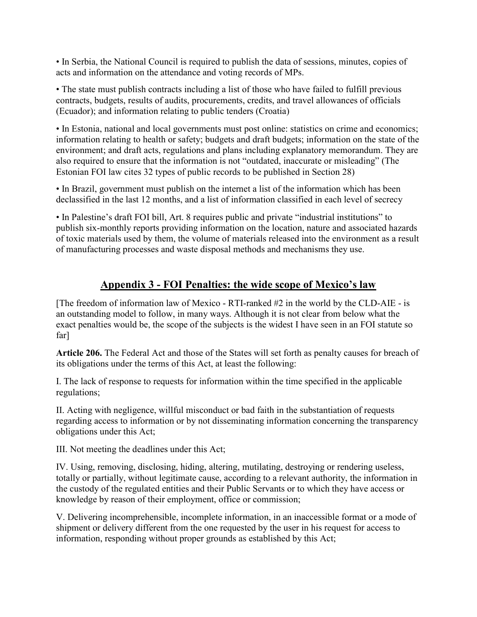• In Serbia, the National Council is required to publish the data of sessions, minutes, copies of acts and information on the attendance and voting records of MPs.

• The state must publish contracts including a list of those who have failed to fulfill previous contracts, budgets, results of audits, procurements, credits, and travel allowances of officials (Ecuador); and information relating to public tenders (Croatia)

• In Estonia, national and local governments must post online: statistics on crime and economics; information relating to health or safety; budgets and draft budgets; information on the state of the environment; and draft acts, regulations and plans including explanatory memorandum. They are also required to ensure that the information is not "outdated, inaccurate or misleading" (The Estonian FOI law cites 32 types of public records to be published in Section 28)

• In Brazil, government must publish on the internet a list of the information which has been declassified in the last 12 months, and a list of information classified in each level of secrecy

• In Palestine's draft FOI bill, Art. 8 requires public and private "industrial institutions" to publish six-monthly reports providing information on the location, nature and associated hazards of toxic materials used by them, the volume of materials released into the environment as a result of manufacturing processes and waste disposal methods and mechanisms they use.

# Appendix 3 - FOI Penalties: the wide scope of Mexico's law

[The freedom of information law of Mexico - RTI-ranked #2 in the world by the CLD-AIE - is an outstanding model to follow, in many ways. Although it is not clear from below what the exact penalties would be, the scope of the subjects is the widest I have seen in an FOI statute so far]

Article 206. The Federal Act and those of the States will set forth as penalty causes for breach of its obligations under the terms of this Act, at least the following:

I. The lack of response to requests for information within the time specified in the applicable regulations;

II. Acting with negligence, willful misconduct or bad faith in the substantiation of requests regarding access to information or by not disseminating information concerning the transparency obligations under this Act;

III. Not meeting the deadlines under this Act;

IV. Using, removing, disclosing, hiding, altering, mutilating, destroying or rendering useless, totally or partially, without legitimate cause, according to a relevant authority, the information in the custody of the regulated entities and their Public Servants or to which they have access or knowledge by reason of their employment, office or commission;

V. Delivering incomprehensible, incomplete information, in an inaccessible format or a mode of shipment or delivery different from the one requested by the user in his request for access to information, responding without proper grounds as established by this Act;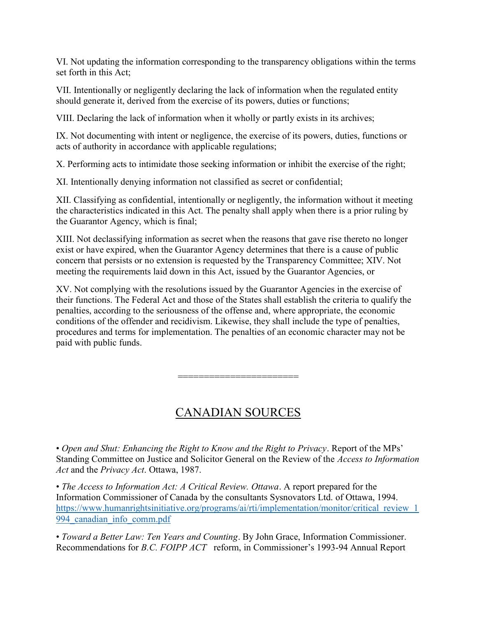VI. Not updating the information corresponding to the transparency obligations within the terms set forth in this Act;

VII. Intentionally or negligently declaring the lack of information when the regulated entity should generate it, derived from the exercise of its powers, duties or functions;

VIII. Declaring the lack of information when it wholly or partly exists in its archives;

IX. Not documenting with intent or negligence, the exercise of its powers, duties, functions or acts of authority in accordance with applicable regulations;

X. Performing acts to intimidate those seeking information or inhibit the exercise of the right;

XI. Intentionally denying information not classified as secret or confidential;

XII. Classifying as confidential, intentionally or negligently, the information without it meeting the characteristics indicated in this Act. The penalty shall apply when there is a prior ruling by the Guarantor Agency, which is final;

XIII. Not declassifying information as secret when the reasons that gave rise thereto no longer exist or have expired, when the Guarantor Agency determines that there is a cause of public concern that persists or no extension is requested by the Transparency Committee; XIV. Not meeting the requirements laid down in this Act, issued by the Guarantor Agencies, or

XV. Not complying with the resolutions issued by the Guarantor Agencies in the exercise of their functions. The Federal Act and those of the States shall establish the criteria to qualify the penalties, according to the seriousness of the offense and, where appropriate, the economic conditions of the offender and recidivism. Likewise, they shall include the type of penalties, procedures and terms for implementation. The penalties of an economic character may not be paid with public funds.

# CANADIAN SOURCES

=============================

• Open and Shut: Enhancing the Right to Know and the Right to Privacy. Report of the MPs' Standing Committee on Justice and Solicitor General on the Review of the Access to Information Act and the Privacy Act. Ottawa, 1987.

• The Access to Information Act: A Critical Review. Ottawa. A report prepared for the Information Commissioner of Canada by the consultants Sysnovators Ltd. of Ottawa, 1994. https://www.humanrightsinitiative.org/programs/ai/rti/implementation/monitor/critical\_review\_1 994\_canadian\_info\_comm.pdf

• Toward a Better Law: Ten Years and Counting. By John Grace, Information Commissioner. Recommendations for B.C. FOIPP ACT reform, in Commissioner's 1993-94 Annual Report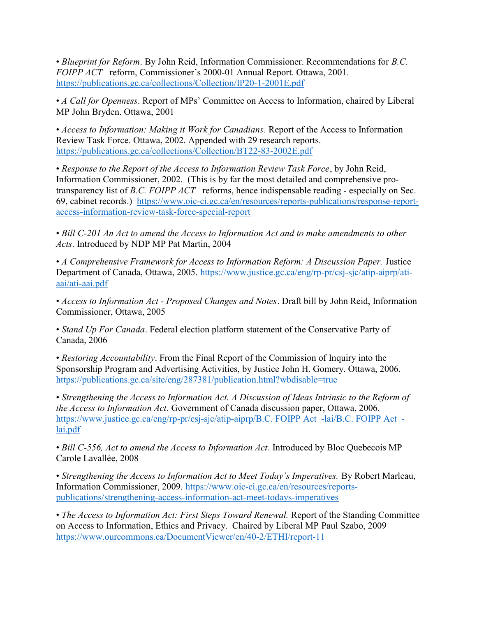• Blueprint for Reform. By John Reid, Information Commissioner. Recommendations for B.C. FOIPP ACT reform, Commissioner's 2000-01 Annual Report. Ottawa, 2001. https://publications.gc.ca/collections/Collection/IP20-1-2001E.pdf

• A Call for Openness. Report of MPs' Committee on Access to Information, chaired by Liberal MP John Bryden. Ottawa, 2001

• Access to Information: Making it Work for Canadians. Report of the Access to Information Review Task Force. Ottawa, 2002. Appended with 29 research reports. https://publications.gc.ca/collections/Collection/BT22-83-2002E.pdf

• Response to the Report of the Access to Information Review Task Force, by John Reid, Information Commissioner, 2002. (This is by far the most detailed and comprehensive protransparency list of *B.C. FOIPP ACT* reforms, hence indispensable reading - especially on Sec. 69, cabinet records.) https://www.oic-ci.gc.ca/en/resources/reports-publications/response-reportaccess-information-review-task-force-special-report

• Bill C-201 An Act to amend the Access to Information Act and to make amendments to other Acts. Introduced by NDP MP Pat Martin, 2004

• A Comprehensive Framework for Access to Information Reform: A Discussion Paper. Justice Department of Canada, Ottawa, 2005. https://www.justice.gc.ca/eng/rp-pr/csj-sjc/atip-aiprp/atiaai/ati-aai.pdf

• Access to Information Act - Proposed Changes and Notes. Draft bill by John Reid, Information Commissioner, Ottawa, 2005

• Stand Up For Canada. Federal election platform statement of the Conservative Party of Canada, 2006

• Restoring Accountability. From the Final Report of the Commission of Inquiry into the Sponsorship Program and Advertising Activities, by Justice John H. Gomery. Ottawa, 2006. https://publications.gc.ca/site/eng/287381/publication.html?wbdisable=true

• Strengthening the Access to Information Act. A Discussion of Ideas Intrinsic to the Reform of the Access to Information Act. Government of Canada discussion paper, Ottawa, 2006. https://www.justice.gc.ca/eng/rp-pr/csj-sjc/atip-aiprp/B.C. FOIPP Act -lai/B.C. FOIPP Act lai.pdf

• Bill C-556, Act to amend the Access to Information Act. Introduced by Bloc Quebecois MP Carole Lavallée, 2008

• Strengthening the Access to Information Act to Meet Today's Imperatives. By Robert Marleau, Information Commissioner, 2009. https://www.oic-ci.gc.ca/en/resources/reportspublications/strengthening-access-information-act-meet-todays-imperatives

• The Access to Information Act: First Steps Toward Renewal. Report of the Standing Committee on Access to Information, Ethics and Privacy. Chaired by Liberal MP Paul Szabo, 2009 https://www.ourcommons.ca/DocumentViewer/en/40-2/ETHI/report-11